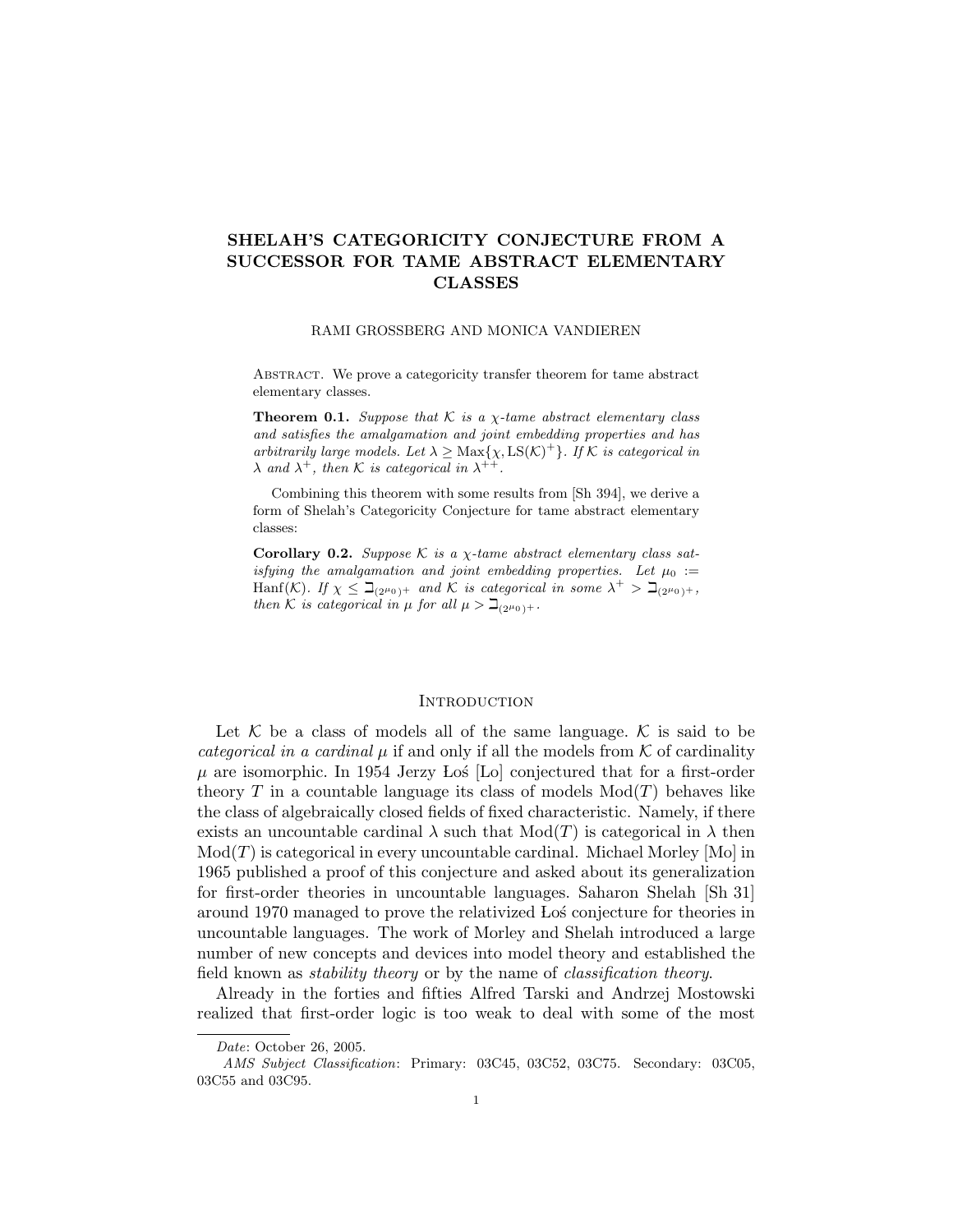# SHELAH'S CATEGORICITY CONJECTURE FROM A SUCCESSOR FOR TAME ABSTRACT ELEMENTARY CLASSES

#### RAMI GROSSBERG AND MONICA VANDIEREN

Abstract. We prove a categoricity transfer theorem for tame abstract elementary classes.

**Theorem 0.1.** Suppose that K is a  $\chi$ -tame abstract elementary class and satisfies the amalgamation and joint embedding properties and has arbitrarily large models. Let  $\lambda \geq \text{Max}\{\chi, \text{LS}(\mathcal{K})^+\}$ . If  $\mathcal K$  is categorical in  $\lambda$  and  $\lambda^{+}$ , then K is categorical in  $\lambda^{++}$ .

Combining this theorem with some results from [Sh 394], we derive a form of Shelah's Categoricity Conjecture for tame abstract elementary classes:

Corollary 0.2. Suppose K is a  $\chi$ -tame abstract elementary class satisfying the amalgamation and joint embedding properties. Let  $\mu_0 :=$ Hanf(K). If  $\chi \leq \beth_{(2^{\mu_0})^+}$  and K is categorical in some  $\lambda^+ > \beth_{(2^{\mu_0})^+}$ , then K is categorical in  $\mu$  for all  $\mu > \beth_{(2^{\mu_0})+}$ .

## **INTRODUCTION**

Let  $K$  be a class of models all of the same language.  $K$  is said to be categorical in a cardinal  $\mu$  if and only if all the models from  $K$  of cardinality  $\mu$  are isomorphic. In 1954 Jerzy Los [Lo] conjectured that for a first-order theory T in a countable language its class of models  $Mod(T)$  behaves like the class of algebraically closed fields of fixed characteristic. Namely, if there exists an uncountable cardinal  $\lambda$  such that  $Mod(T)$  is categorical in  $\lambda$  then  $Mod(T)$  is categorical in every uncountable cardinal. Michael Morley [Mo] in 1965 published a proof of this conjecture and asked about its generalization for first-order theories in uncountable languages. Saharon Shelah [Sh 31] around 1970 managed to prove the relativized Lo´s conjecture for theories in uncountable languages. The work of Morley and Shelah introduced a large number of new concepts and devices into model theory and established the field known as stability theory or by the name of classification theory.

Already in the forties and fifties Alfred Tarski and Andrzej Mostowski realized that first-order logic is too weak to deal with some of the most

Date: October 26, 2005.

AMS Subject Classification: Primary: 03C45, 03C52, 03C75. Secondary: 03C05, 03C55 and 03C95.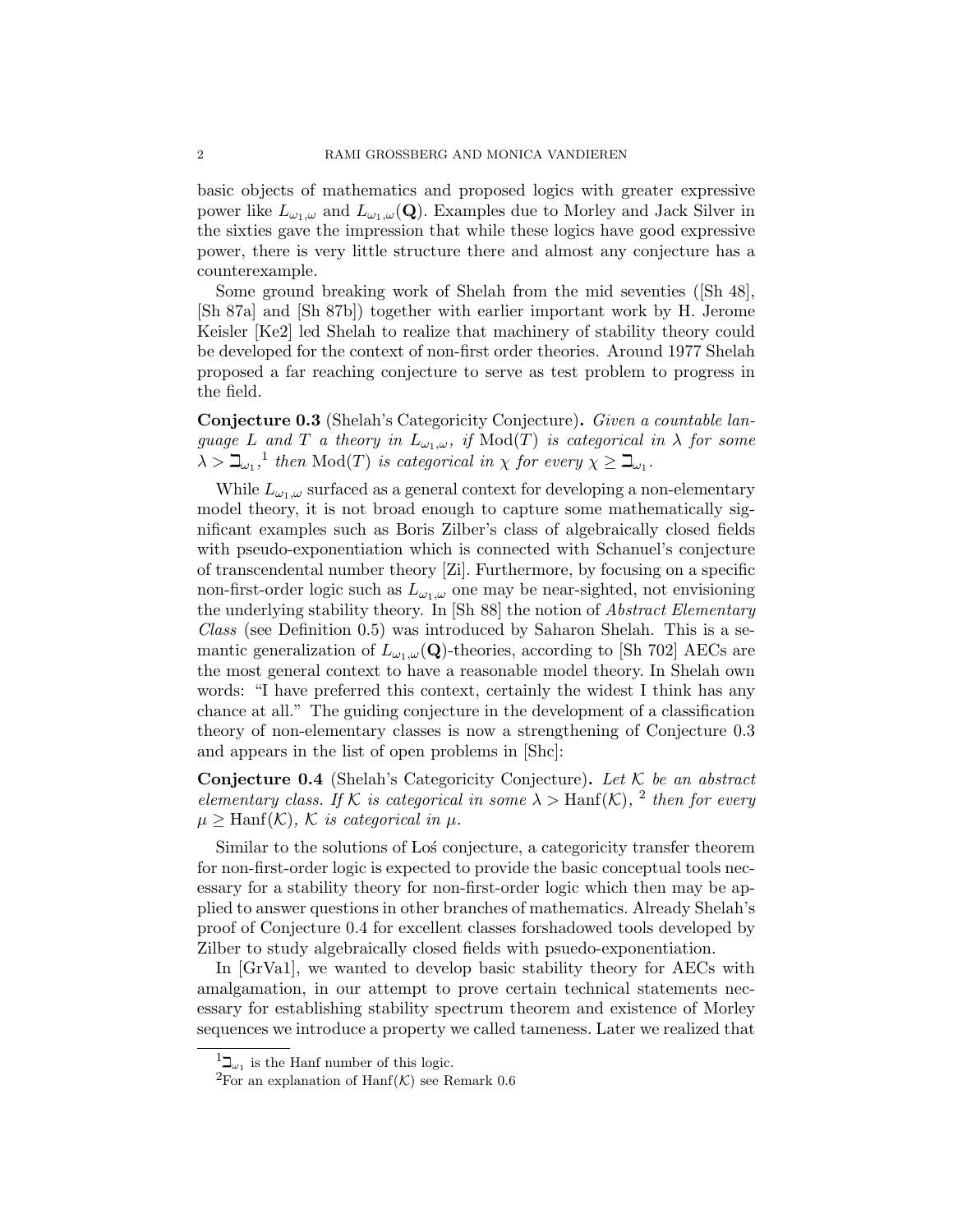basic objects of mathematics and proposed logics with greater expressive power like  $L_{\omega_1,\omega}$  and  $L_{\omega_1,\omega}(\mathbf{Q})$ . Examples due to Morley and Jack Silver in the sixties gave the impression that while these logics have good expressive power, there is very little structure there and almost any conjecture has a counterexample.

Some ground breaking work of Shelah from the mid seventies ([Sh 48], [Sh 87a] and [Sh 87b]) together with earlier important work by H. Jerome Keisler [Ke2] led Shelah to realize that machinery of stability theory could be developed for the context of non-first order theories. Around 1977 Shelah proposed a far reaching conjecture to serve as test problem to progress in the field.

Conjecture 0.3 (Shelah's Categoricity Conjecture). Given a countable language L and T a theory in  $L_{\omega_1,\omega}$ , if  $Mod(T)$  is categorical in  $\lambda$  for some  $\lambda > \beth_{\omega_1}$ ,<sup>1</sup> then Mod(T) is categorical in  $\chi$  for every  $\chi \ge \beth_{\omega_1}$ .

While  $L_{\omega_1,\omega}$  surfaced as a general context for developing a non-elementary model theory, it is not broad enough to capture some mathematically significant examples such as Boris Zilber's class of algebraically closed fields with pseudo-exponentiation which is connected with Schanuel's conjecture of transcendental number theory [Zi]. Furthermore, by focusing on a specific non-first-order logic such as  $L_{\omega_1,\omega}$  one may be near-sighted, not envisioning the underlying stability theory. In [Sh 88] the notion of Abstract Elementary Class (see Definition 0.5) was introduced by Saharon Shelah. This is a semantic generalization of  $L_{\omega_1,\omega}(\mathbf{Q})$ -theories, according to [Sh 702] AECs are the most general context to have a reasonable model theory. In Shelah own words: "I have preferred this context, certainly the widest I think has any chance at all." The guiding conjecture in the development of a classification theory of non-elementary classes is now a strengthening of Conjecture 0.3 and appears in the list of open problems in [Shc]:

Conjecture 0.4 (Shelah's Categoricity Conjecture). Let  $K$  be an abstract elementary class. If K is categorical in some  $\lambda >$  Hanf(K), <sup>2</sup> then for every  $\mu \geq \text{Hanf}(\mathcal{K}), \mathcal{K}$  is categorical in  $\mu$ .

Similar to the solutions of Los conjecture, a categoricity transfer theorem for non-first-order logic is expected to provide the basic conceptual tools necessary for a stability theory for non-first-order logic which then may be applied to answer questions in other branches of mathematics. Already Shelah's proof of Conjecture 0.4 for excellent classes forshadowed tools developed by Zilber to study algebraically closed fields with psuedo-exponentiation.

In [GrVa1], we wanted to develop basic stability theory for AECs with amalgamation, in our attempt to prove certain technical statements necessary for establishing stability spectrum theorem and existence of Morley sequences we introduce a property we called tameness. Later we realized that

 $^{1}\mathcal{\rightharpoonup}_{\omega_{1}}$  is the Hanf number of this logic.

<sup>&</sup>lt;sup>2</sup>For an explanation of Hanf(K) see Remark 0.6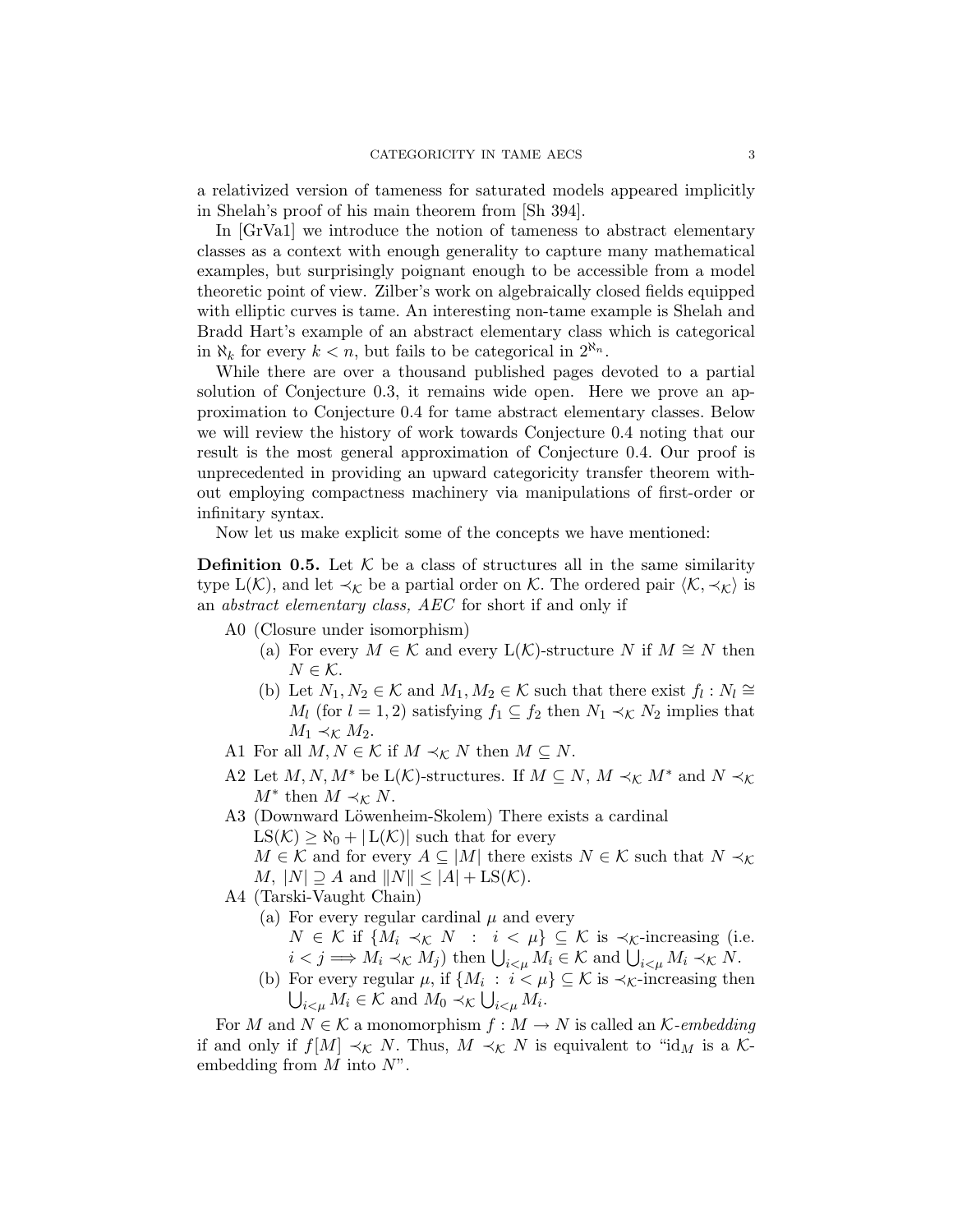a relativized version of tameness for saturated models appeared implicitly in Shelah's proof of his main theorem from [Sh 394].

In [GrVa1] we introduce the notion of tameness to abstract elementary classes as a context with enough generality to capture many mathematical examples, but surprisingly poignant enough to be accessible from a model theoretic point of view. Zilber's work on algebraically closed fields equipped with elliptic curves is tame. An interesting non-tame example is Shelah and Bradd Hart's example of an abstract elementary class which is categorical in  $\aleph_k$  for every  $k < n$ , but fails to be categorical in  $2^{\aleph_n}$ .

While there are over a thousand published pages devoted to a partial solution of Conjecture 0.3, it remains wide open. Here we prove an approximation to Conjecture 0.4 for tame abstract elementary classes. Below we will review the history of work towards Conjecture 0.4 noting that our result is the most general approximation of Conjecture 0.4. Our proof is unprecedented in providing an upward categoricity transfer theorem without employing compactness machinery via manipulations of first-order or infinitary syntax.

Now let us make explicit some of the concepts we have mentioned:

**Definition 0.5.** Let  $K$  be a class of structures all in the same similarity type  $L(\mathcal{K})$ , and let  $\prec_{\mathcal{K}}$  be a partial order on K. The ordered pair  $\langle \mathcal{K}, \prec_{\mathcal{K}} \rangle$  is an abstract elementary class, AEC for short if and only if

- A0 (Closure under isomorphism)
	- (a) For every  $M \in \mathcal{K}$  and every  $L(\mathcal{K})$ -structure N if  $M \cong N$  then  $N \in \mathcal{K}$ .
	- (b) Let  $N_1, N_2 \in \mathcal{K}$  and  $M_1, M_2 \in \mathcal{K}$  such that there exist  $f_l : N_l \cong$  $M_l$  (for  $l = 1, 2$ ) satisfying  $f_1 \subseteq f_2$  then  $N_1 \prec_{\mathcal{K}} N_2$  implies that  $M_1 \prec_{\mathcal{K}} M_2$ .
- A1 For all  $M, N \in \mathcal{K}$  if  $M \prec_{\mathcal{K}} N$  then  $M \subseteq N.$
- A2 Let  $M, N, M^*$  be  $L(K)$ -structures. If  $M \subseteq N, M \prec_K M^*$  and  $N \prec_K$  $M^*$  then  $M \prec_{\mathcal{K}} N$ .
- A3 (Downward Löwenheim-Skolem) There exists a cardinal  $LS(\mathcal{K}) \geq \aleph_0 + |L(\mathcal{K})|$  such that for every  $M \in \mathcal{K}$  and for every  $A \subseteq |M|$  there exists  $N \in \mathcal{K}$  such that  $N \prec_{\mathcal{K}}$  $M, |N| \supseteq A$  and  $||N|| \leq |A| + \text{LS}(\mathcal{K}).$
- A4 (Tarski-Vaught Chain)
	- (a) For every regular cardinal  $\mu$  and every  $N \in \mathcal{K}$  if  $\{M_i \prec_{\mathcal{K}} N : i < \mu\} \subseteq \mathcal{K}$  is  $\prec_{\mathcal{K}}$ -increasing (i.e.  $i < j \Longrightarrow M_i \prec_{\mathcal{K}} M_j$  then  $\bigcup_{i < \mu} M_i \in \mathcal{K}$  and  $\bigcup_{i < \mu} M_i \prec_{\mathcal{K}} N$ .
	- (b) For every regular  $\mu$ , if  $\{M_i : i < \mu\} \subseteq \mathcal{K}$  is  $\prec_{\mathcal{K}}$ -increasing then  $\bigcup_{i \leq \mu} M_i \in \mathcal{K}$  and  $M_0 \prec_{\mathcal{K}} \bigcup_{i \leq \mu} M_i$ .

For M and  $N \in \mathcal{K}$  a monomorphism  $f : M \to N$  is called an  $\mathcal{K}\text{-}embedding$ if and only if  $f[M] \prec_{\mathcal{K}} N$ . Thus,  $M \prec_{\mathcal{K}} N$  is equivalent to "id<sub>M</sub> is a Kembedding from  $M$  into  $N$ ".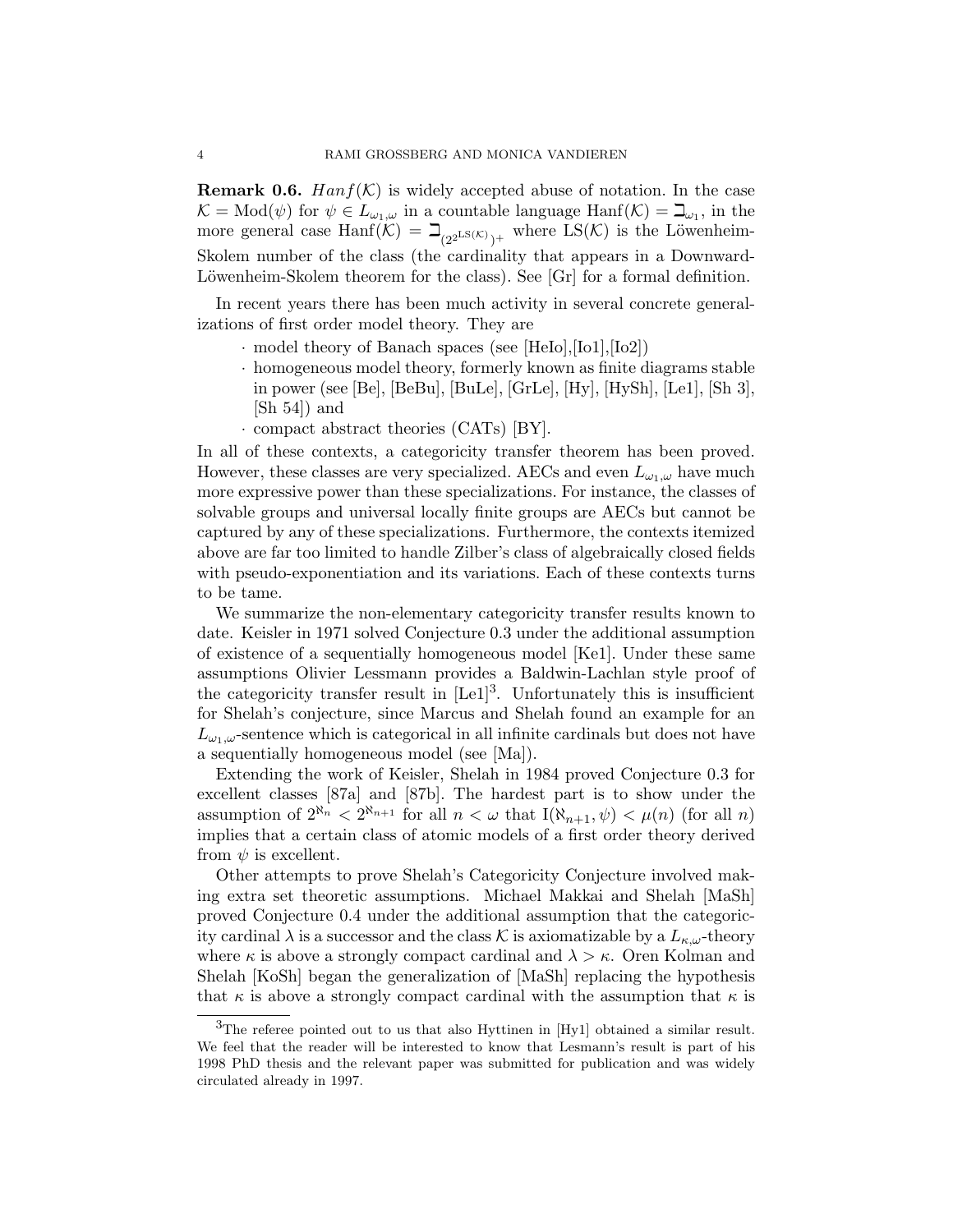**Remark 0.6.** Hanf(K) is widely accepted abuse of notation. In the case  $\mathcal{K} = \text{Mod}(\psi)$  for  $\psi \in L_{\omega_1,\omega}$  in a countable language  $\text{Hanf}(\mathcal{K}) = \mathbb{L}_{\omega_1}$ , in the more general case Hanf $(K) = \beth_{(2^{2^{\text{LS}}(K)})^+}$  where  $LS(K)$  is the Löwenheim-Skolem number of the class (the cardinality that appears in a Downward-Löwenheim-Skolem theorem for the class). See  $|Gr|$  for a formal definition.

In recent years there has been much activity in several concrete generalizations of first order model theory. They are

- · model theory of Banach spaces (see [HeIo],[Io1],[Io2])
- · homogeneous model theory, formerly known as finite diagrams stable in power (see [Be], [BeBu], [BuLe], [GrLe], [Hy], [HySh], [Le1], [Sh 3], [Sh 54]) and
- · compact abstract theories (CATs) [BY].

In all of these contexts, a categoricity transfer theorem has been proved. However, these classes are very specialized. AECs and even  $L_{\omega_1,\omega}$  have much more expressive power than these specializations. For instance, the classes of solvable groups and universal locally finite groups are AECs but cannot be captured by any of these specializations. Furthermore, the contexts itemized above are far too limited to handle Zilber's class of algebraically closed fields with pseudo-exponentiation and its variations. Each of these contexts turns to be tame.

We summarize the non-elementary categoricity transfer results known to date. Keisler in 1971 solved Conjecture 0.3 under the additional assumption of existence of a sequentially homogeneous model [Ke1]. Under these same assumptions Olivier Lessmann provides a Baldwin-Lachlan style proof of the categoricity transfer result in  $[Le1]<sup>3</sup>$ . Unfortunately this is insufficient for Shelah's conjecture, since Marcus and Shelah found an example for an  $L_{\omega_1,\omega}$ -sentence which is categorical in all infinite cardinals but does not have a sequentially homogeneous model (see [Ma]).

Extending the work of Keisler, Shelah in 1984 proved Conjecture 0.3 for excellent classes [87a] and [87b]. The hardest part is to show under the assumption of  $2^{\aleph_n} < 2^{\aleph_{n+1}}$  for all  $n < \omega$  that  $I(\aleph_{n+1}, \psi) < \mu(n)$  (for all n) implies that a certain class of atomic models of a first order theory derived from  $\psi$  is excellent.

Other attempts to prove Shelah's Categoricity Conjecture involved making extra set theoretic assumptions. Michael Makkai and Shelah [MaSh] proved Conjecture 0.4 under the additional assumption that the categoricity cardinal  $\lambda$  is a successor and the class K is axiomatizable by a  $L_{\kappa,\omega}$ -theory where  $\kappa$  is above a strongly compact cardinal and  $\lambda > \kappa$ . Oren Kolman and Shelah [KoSh] began the generalization of [MaSh] replacing the hypothesis that  $\kappa$  is above a strongly compact cardinal with the assumption that  $\kappa$  is

 $3$ The referee pointed out to us that also Hyttinen in [Hy1] obtained a similar result. We feel that the reader will be interested to know that Lesmann's result is part of his 1998 PhD thesis and the relevant paper was submitted for publication and was widely circulated already in 1997.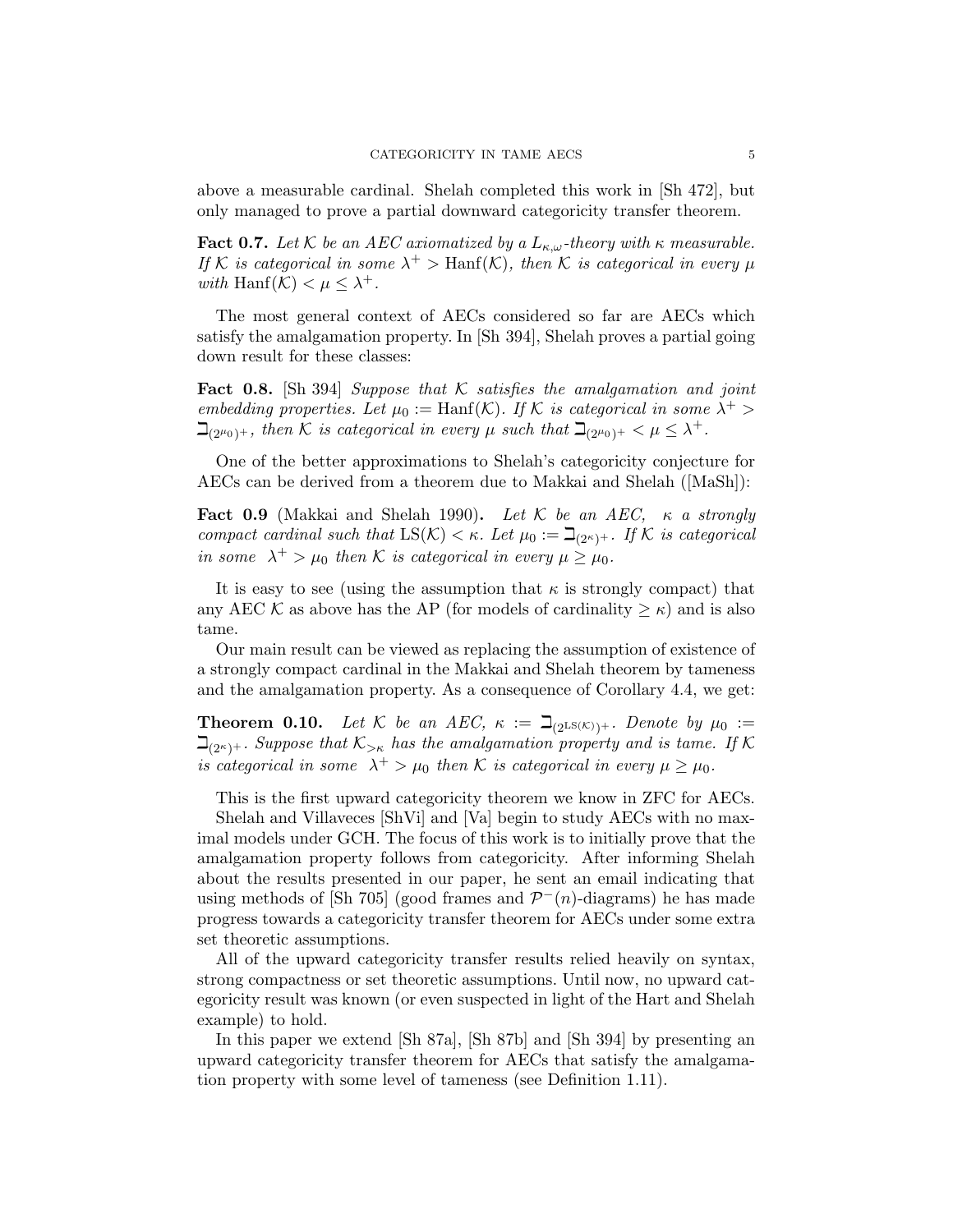above a measurable cardinal. Shelah completed this work in [Sh 472], but only managed to prove a partial downward categoricity transfer theorem.

**Fact 0.7.** Let K be an AEC axiomatized by a  $L_{\kappa,\omega}$ -theory with  $\kappa$  measurable. If K is categorical in some  $\lambda^+$  > Hanf(K), then K is categorical in every  $\mu$ with Hanf $(K) < \mu \leq \lambda^+$ .

The most general context of AECs considered so far are AECs which satisfy the amalgamation property. In [Sh 394], Shelah proves a partial going down result for these classes:

**Fact 0.8.** [Sh 394] Suppose that K satisfies the amalgamation and joint embedding properties. Let  $\mu_0 := \text{Hanf}(\mathcal{K})$ . If K is categorical in some  $\lambda^+$  $\beth_{(2^{\mu_0})^+}$ , then K is categorical in every  $\mu$  such that  $\beth_{(2^{\mu_0})^+} < \mu \leq \lambda^+$ .

One of the better approximations to Shelah's categoricity conjecture for AECs can be derived from a theorem due to Makkai and Shelah ([MaSh]):

Fact 0.9 (Makkai and Shelah 1990). Let K be an AEC,  $\kappa$  a strongly compact cardinal such that  $LS(K) < \kappa$ . Let  $\mu_0 := \beth_{(2^{\kappa})^+}$ . If K is categorical in some  $\lambda^+ > \mu_0$  then K is categorical in every  $\mu \ge \mu_0$ .

It is easy to see (using the assumption that  $\kappa$  is strongly compact) that any AEC K as above has the AP (for models of cardinality  $\geq \kappa$ ) and is also tame.

Our main result can be viewed as replacing the assumption of existence of a strongly compact cardinal in the Makkai and Shelah theorem by tameness and the amalgamation property. As a consequence of Corollary 4.4, we get:

**Theorem 0.10.** Let K be an AEC,  $\kappa := \beth_{(2^{\text{LS}}(\mathcal{K}))^+}$ . Denote by  $\mu_0 :=$  $\mathcal{L}_{2^{k+1}}$ . Suppose that  $\mathcal{K}_{\geq k}$  has the amalgamation property and is tame. If K is categorical in some  $\lambda^+ > \mu_0$  then K is categorical in every  $\mu \ge \mu_0$ .

This is the first upward categoricity theorem we know in ZFC for AECs.

Shelah and Villaveces [ShVi] and [Va] begin to study AECs with no maximal models under GCH. The focus of this work is to initially prove that the amalgamation property follows from categoricity. After informing Shelah about the results presented in our paper, he sent an email indicating that using methods of  $\lbrack Sh 705 \rbrack$  (good frames and  $\mathcal{P}^{-}(n)$ -diagrams) he has made progress towards a categoricity transfer theorem for AECs under some extra set theoretic assumptions.

All of the upward categoricity transfer results relied heavily on syntax, strong compactness or set theoretic assumptions. Until now, no upward categoricity result was known (or even suspected in light of the Hart and Shelah example) to hold.

In this paper we extend [Sh 87a], [Sh 87b] and [Sh 394] by presenting an upward categoricity transfer theorem for AECs that satisfy the amalgamation property with some level of tameness (see Definition 1.11).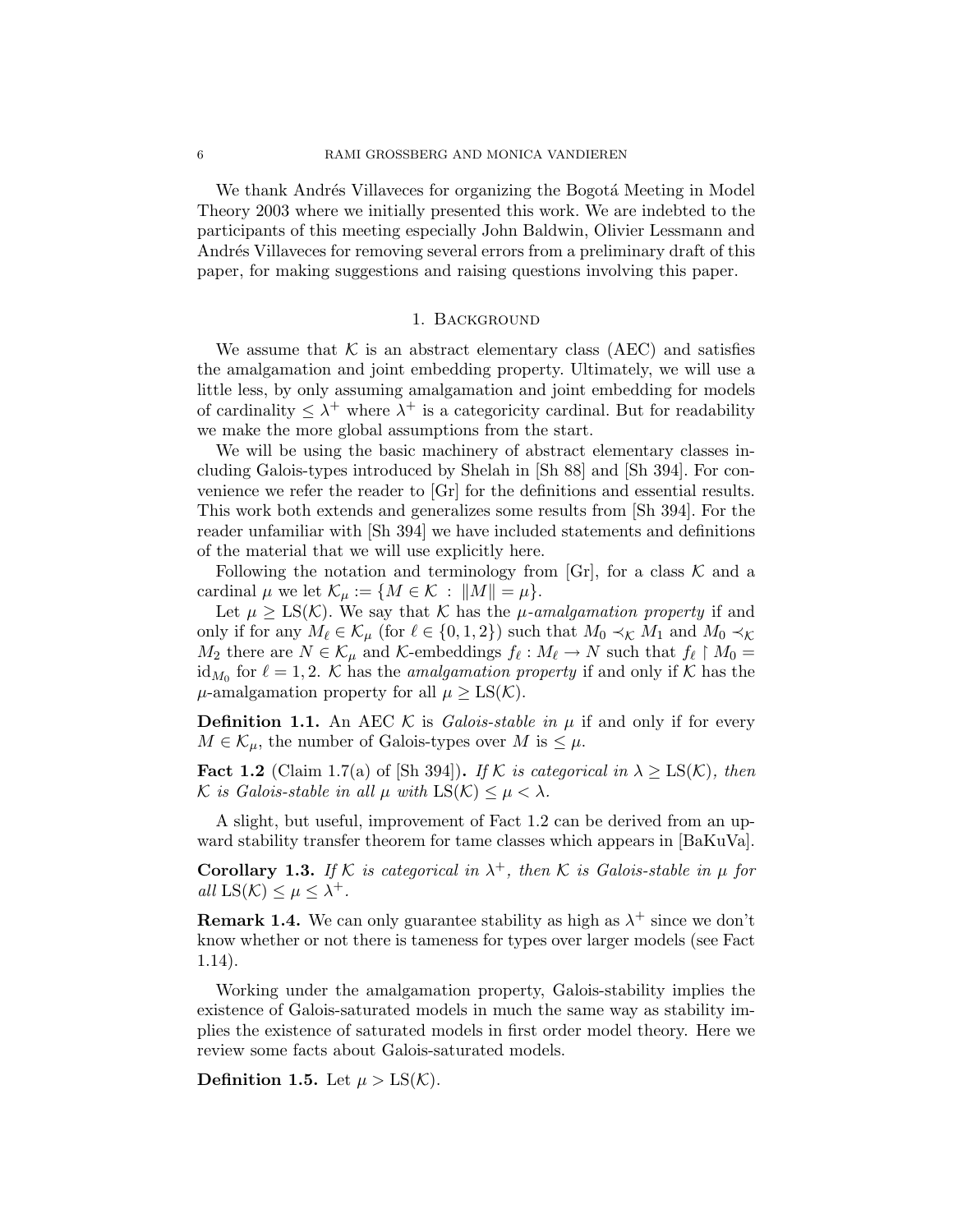We thank Andrés Villaveces for organizing the Bogota Meeting in Model Theory 2003 where we initially presented this work. We are indebted to the participants of this meeting especially John Baldwin, Olivier Lessmann and Andrés Villaveces for removing several errors from a preliminary draft of this paper, for making suggestions and raising questions involving this paper.

### 1. Background

We assume that  $K$  is an abstract elementary class (AEC) and satisfies the amalgamation and joint embedding property. Ultimately, we will use a little less, by only assuming amalgamation and joint embedding for models of cardinality  $\leq \lambda^+$  where  $\lambda^+$  is a categoricity cardinal. But for readability we make the more global assumptions from the start.

We will be using the basic machinery of abstract elementary classes including Galois-types introduced by Shelah in [Sh 88] and [Sh 394]. For convenience we refer the reader to [Gr] for the definitions and essential results. This work both extends and generalizes some results from [Sh 394]. For the reader unfamiliar with [Sh 394] we have included statements and definitions of the material that we will use explicitly here.

Following the notation and terminology from [Gr], for a class  $K$  and a cardinal  $\mu$  we let  $\mathcal{K}_{\mu} := \{ M \in \mathcal{K} : ||M|| = \mu \}.$ 

Let  $\mu \geq LS(\mathcal{K})$ . We say that K has the  $\mu$ -amalgamation property if and only if for any  $M_\ell \in \mathcal{K}_\mu$  (for  $\ell \in \{0, 1, 2\}$ ) such that  $M_0 \prec_{\mathcal{K}} M_1$  and  $M_0 \prec_{\mathcal{K}}$  $M_2$  there are  $N \in \mathcal{K}_{\mu}$  and  $\mathcal{K}$ -embeddings  $f_{\ell}: M_{\ell} \to N$  such that  $f_{\ell} \upharpoonright M_0 =$ id<sub>M<sub>0</sub></sub> for  $\ell = 1, 2$ . K has the *amalgamation property* if and only if K has the  $\mu$ -amalgamation property for all  $\mu \geq LS(\mathcal{K})$ .

**Definition 1.1.** An AEC K is Galois-stable in  $\mu$  if and only if for every  $M \in \mathcal{K}_{\mu}$ , the number of Galois-types over M is  $\leq \mu$ .

**Fact 1.2** (Claim 1.7(a) of [Sh 394]). If K is categorical in  $\lambda \geq LS(\mathcal{K})$ , then K is Galois-stable in all  $\mu$  with  $LS(K) \leq \mu < \lambda$ .

A slight, but useful, improvement of Fact 1.2 can be derived from an upward stability transfer theorem for tame classes which appears in [BaKuVa].

**Corollary 1.3.** If K is categorical in  $\lambda^+$ , then K is Galois-stable in  $\mu$  for all  $LS(K) \leq \mu \leq \lambda^+$ .

**Remark 1.4.** We can only guarantee stability as high as  $\lambda^+$  since we don't know whether or not there is tameness for types over larger models (see Fact 1.14).

Working under the amalgamation property, Galois-stability implies the existence of Galois-saturated models in much the same way as stability implies the existence of saturated models in first order model theory. Here we review some facts about Galois-saturated models.

**Definition 1.5.** Let  $\mu > \text{LS}(\mathcal{K})$ .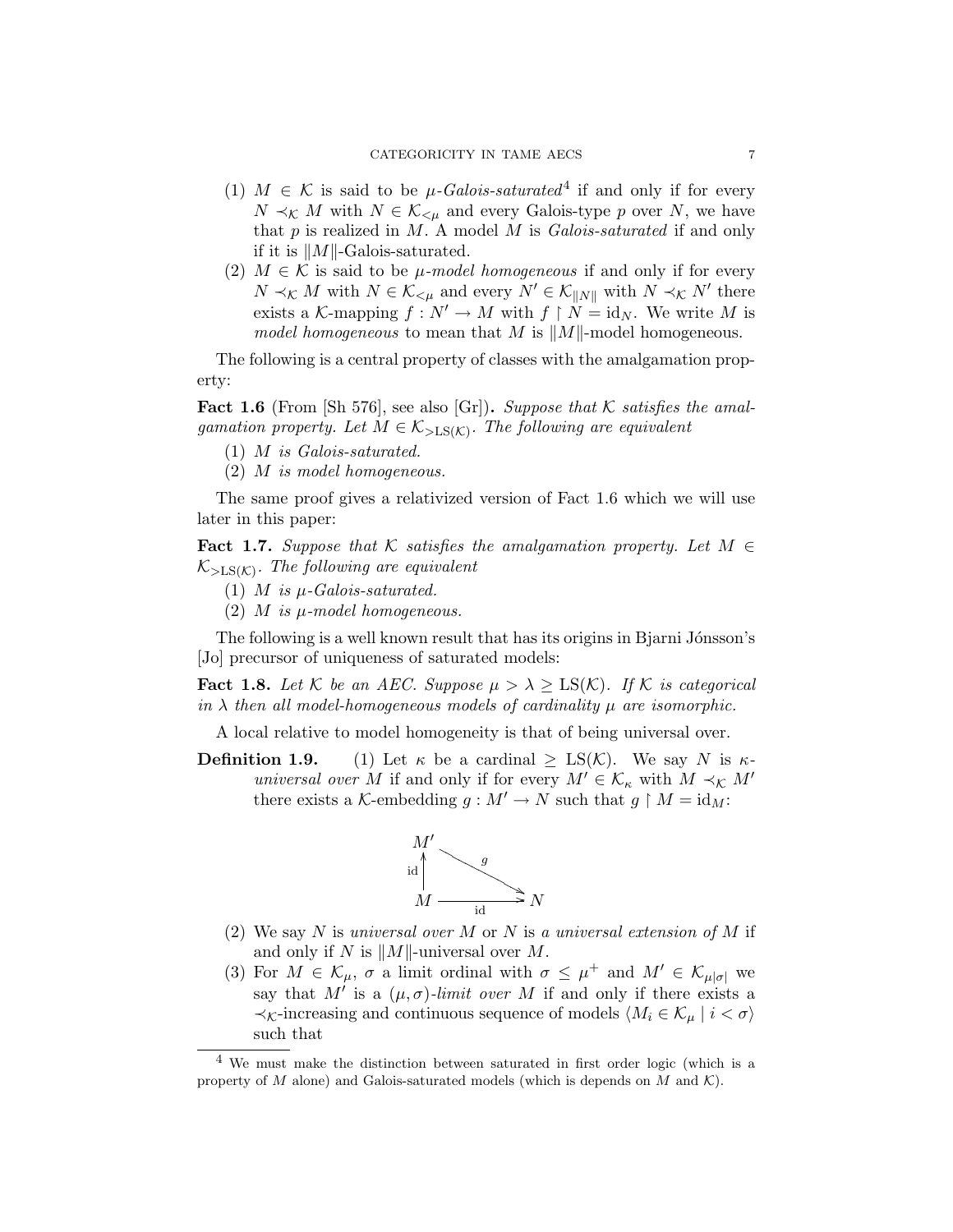- (1)  $M \in \mathcal{K}$  is said to be  $\mu$ -Galois-saturated<sup>4</sup> if and only if for every  $N \prec_{\mathcal{K}} M$  with  $N \in \mathcal{K}_{\leq \mu}$  and every Galois-type p over N, we have that  $p$  is realized in  $M$ . A model  $M$  is *Galois-saturated* if and only if it is  $||M||$ -Galois-saturated.
- (2)  $M \in \mathcal{K}$  is said to be  $\mu$ -model homogeneous if and only if for every  $N \prec_{\mathcal{K}} M$  with  $N \in \mathcal{K}_{\leq \mu}$  and every  $N' \in \mathcal{K}_{\|N\|}$  with  $N \prec_{\mathcal{K}} N'$  there exists a K-mapping  $f : N' \to M$  with  $f \restriction N = id_N$ . We write M is model homogeneous to mean that M is  $||M||$ -model homogeneous.

The following is a central property of classes with the amalgamation property:

**Fact 1.6** (From  $\lbrack Sh 576\rbrack$ , see also  $\lbrack Gr\rbrack$ ). Suppose that K satisfies the amalgamation property. Let  $M \in \mathcal{K}_{>LS(\mathcal{K})}$ . The following are equivalent

- (1) M is Galois-saturated.
- (2) M is model homogeneous.

The same proof gives a relativized version of Fact 1.6 which we will use later in this paper:

Fact 1.7. Suppose that K satisfies the amalgamation property. Let  $M \in$  $\mathcal{K}_{>LS(K)}$ . The following are equivalent

- (1) *M* is  $\mu$ -Galois-saturated.
- (2)  $M$  is  $\mu$ -model homogeneous.

The following is a well known result that has its origins in Bjarni Jónsson's [Jo] precursor of uniqueness of saturated models:

**Fact 1.8.** Let K be an AEC. Suppose  $\mu > \lambda \geq LS(K)$ . If K is categorical in  $\lambda$  then all model-homogeneous models of cardinality  $\mu$  are isomorphic.

A local relative to model homogeneity is that of being universal over.

**Definition 1.9.** (1) Let  $\kappa$  be a cardinal  $\geq LS(\mathcal{K})$ . We say N is  $\kappa$ universal over M if and only if for every  $M' \in \mathcal{K}_{\kappa}$  with  $M \prec_{\mathcal{K}} M'$ there exists a K-embedding  $g : M' \to N$  such that  $g \upharpoonright M = id_M$ :



- (2) We say N is universal over M or N is a universal extension of M if and only if N is  $||M||$ -universal over M.
- (3) For  $M \in \mathcal{K}_{\mu}$ ,  $\sigma$  a limit ordinal with  $\sigma \leq \mu^+$  and  $M' \in \mathcal{K}_{\mu|\sigma|}$  we say that M' is a  $(\mu, \sigma)$ -limit over M if and only if there exists a  $\prec_{\mathcal{K}}$ -increasing and continuous sequence of models  $\langle M_i \in \mathcal{K}_{\mu} \mid i < \sigma \rangle$ such that

 $4$  We must make the distinction between saturated in first order logic (which is a property of M alone) and Galois-saturated models (which is depends on M and  $\mathcal{K}$ ).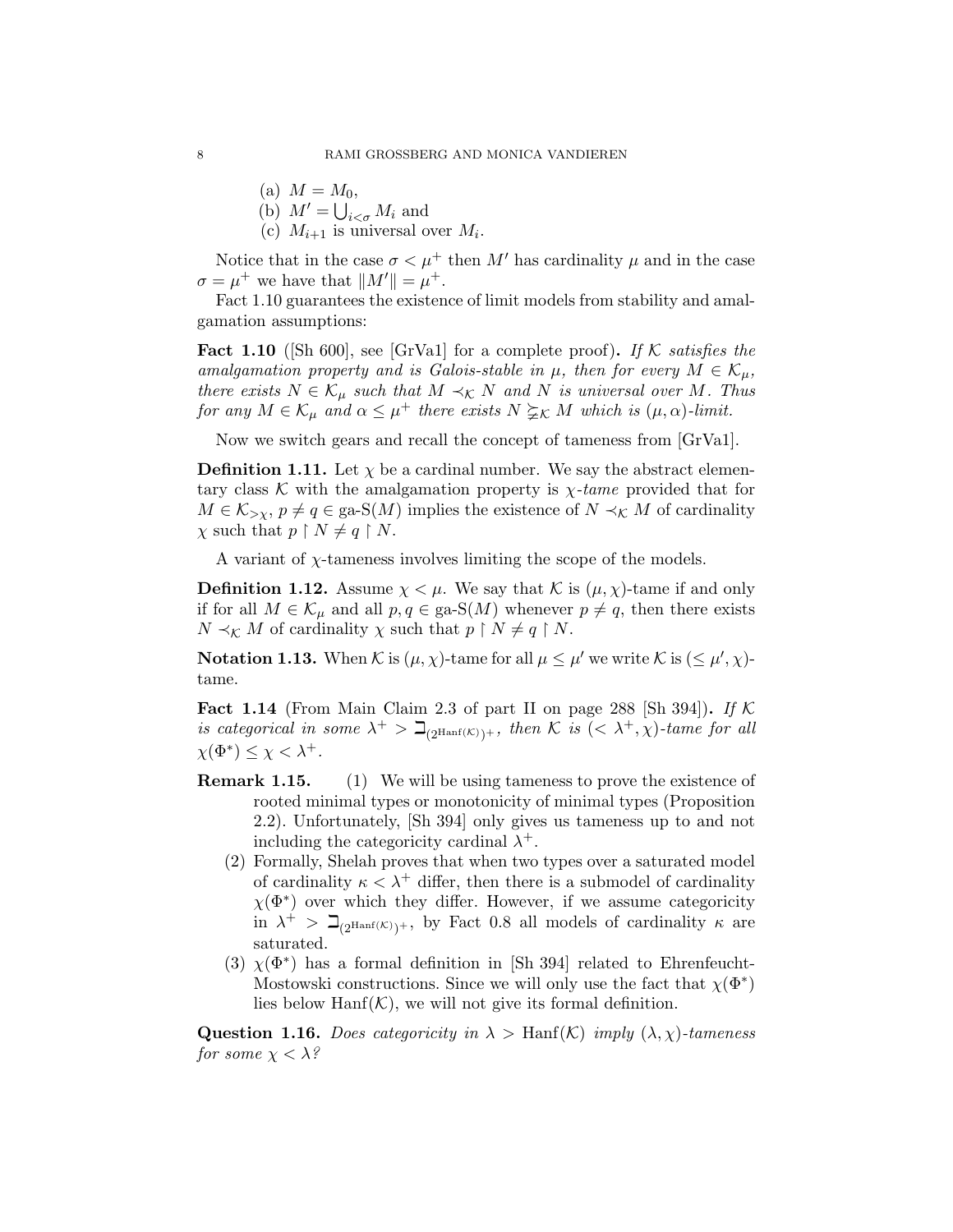- (a)  $M = M_0$ ,
- (b)  $M' = \bigcup_{i < \sigma} M_i$  and
- (c)  $M_{i+1}$  is universal over  $M_i$ .

Notice that in the case  $\sigma < \mu^+$  then M' has cardinality  $\mu$  and in the case  $\sigma = \mu^+$  we have that  $||M'|| = \mu^+$ .

Fact 1.10 guarantees the existence of limit models from stability and amalgamation assumptions:

**Fact 1.10** ([Sh 600], see [GrVa1] for a complete proof). If K satisfies the amalgamation property and is Galois-stable in  $\mu$ , then for every  $M \in \mathcal{K}_{\mu}$ , there exists  $N \in \mathcal{K}_{\mu}$  such that  $M \prec_{\mathcal{K}} N$  and N is universal over M. Thus for any  $M \in \mathcal{K}_{\mu}$  and  $\alpha \leq \mu^+$  there exists  $N \geq_K M$  which is  $(\mu, \alpha)$ -limit.

Now we switch gears and recall the concept of tameness from [GrVa1].

**Definition 1.11.** Let  $\chi$  be a cardinal number. We say the abstract elementary class K with the amalgamation property is  $\chi$ -tame provided that for  $M \in \mathcal{K}_{\geq \chi}, p \neq q \in \text{ga-S}(M)$  implies the existence of  $N \prec_{\mathcal{K}} M$  of cardinality  $\chi$  such that  $p \restriction N \neq q \restriction N$ .

A variant of  $\chi$ -tameness involves limiting the scope of the models.

**Definition 1.12.** Assume  $\chi < \mu$ . We say that K is  $(\mu, \chi)$ -tame if and only if for all  $M \in \mathcal{K}_{\mu}$  and all  $p, q \in \text{ga-S}(M)$  whenever  $p \neq q$ , then there exists  $N \prec_{\mathcal{K}} M$  of cardinality  $\chi$  such that  $p \restriction N \neq q \restriction N$ .

**Notation 1.13.** When K is  $(\mu, \chi)$ -tame for all  $\mu \leq \mu'$  we write K is  $(\leq \mu', \chi)$ tame.

**Fact 1.14** (From Main Claim 2.3 of part II on page 288 [Sh 394]). If  $K$ is categorical in some  $\lambda^+ > \beth_{(2^{\text{Hanf}(\mathcal{K})})^+}$ , then K is  $( $\lambda^+, \chi$ )-tame for all$  $\chi(\Phi^*) \leq \chi < \lambda^+$ .

- **Remark 1.15.** (1) We will be using tameness to prove the existence of rooted minimal types or monotonicity of minimal types (Proposition 2.2). Unfortunately, [Sh 394] only gives us tameness up to and not including the categoricity cardinal  $\lambda^+$ .
	- (2) Formally, Shelah proves that when two types over a saturated model of cardinality  $\kappa < \lambda^+$  differ, then there is a submodel of cardinality  $\chi(\Phi^*)$  over which they differ. However, if we assume categoricity in  $\lambda^+$  >  $\beth_{(2^{\text{Hanf}}(\mathcal{K}))^+}$ , by Fact 0.8 all models of cardinality  $\kappa$  are saturated.
	- (3)  $\chi(\Phi^*)$  has a formal definition in [Sh 394] related to Ehrenfeucht-Mostowski constructions. Since we will only use the fact that  $\chi(\Phi^*)$ lies below  $\text{Hanf}(\mathcal{K})$ , we will not give its formal definition.

**Question 1.16.** Does categoricity in  $\lambda >$  Hanf $(K)$  imply  $(\lambda, \chi)$ -tameness for some  $\chi < \lambda$ ?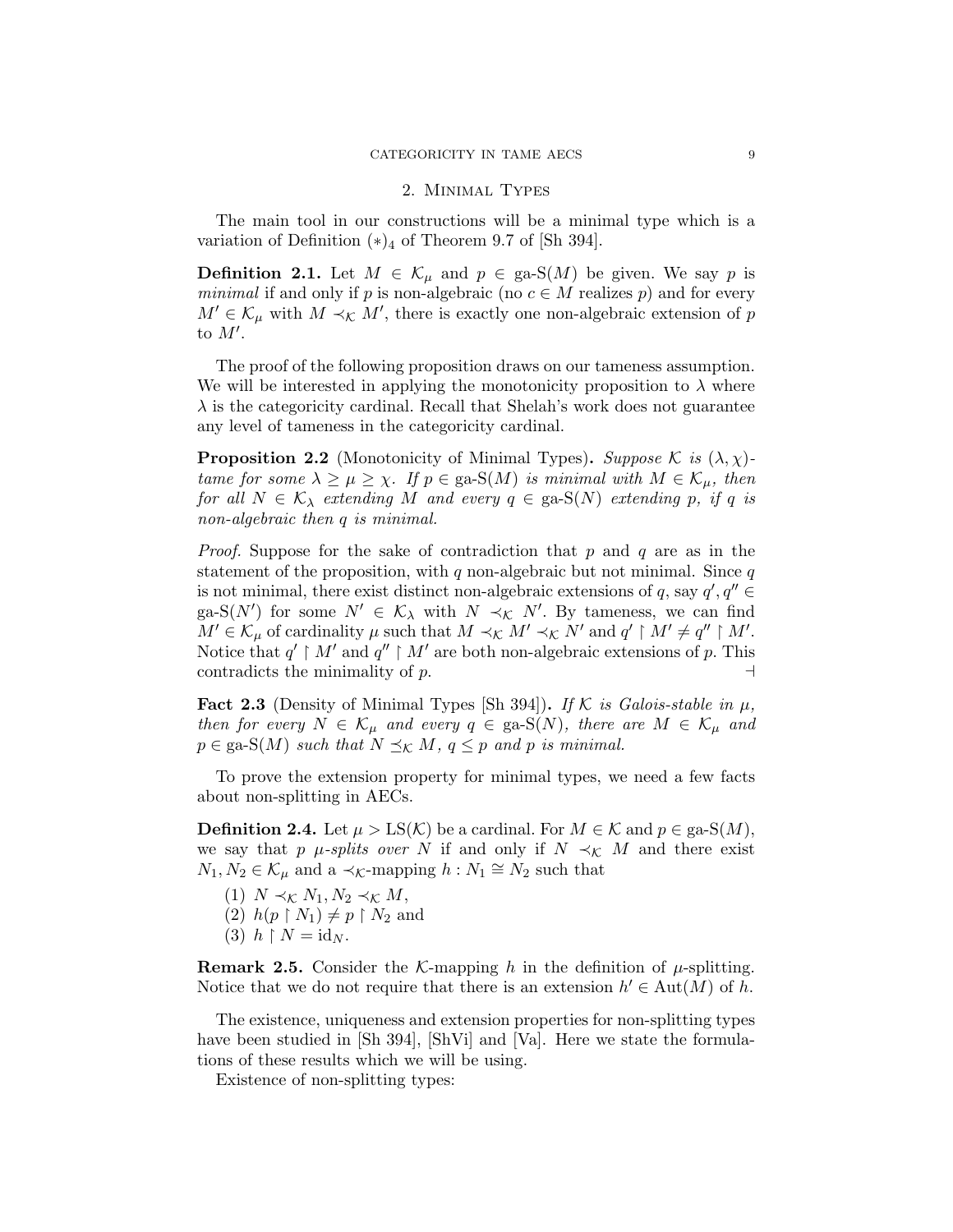## 2. Minimal Types

The main tool in our constructions will be a minimal type which is a variation of Definition  $(*)_4$  of Theorem 9.7 of [Sh 394].

**Definition 2.1.** Let  $M \in \mathcal{K}_{\mu}$  and  $p \in \text{ga-S}(M)$  be given. We say p is minimal if and only if p is non-algebraic (no  $c \in M$  realizes p) and for every  $M' \in \mathcal{K}_{\mu}$  with  $M \prec_{\mathcal{K}} M'$ , there is exactly one non-algebraic extension of p to  $M'$ .

The proof of the following proposition draws on our tameness assumption. We will be interested in applying the monotonicity proposition to  $\lambda$  where  $\lambda$  is the categoricity cardinal. Recall that Shelah's work does not guarantee any level of tameness in the categoricity cardinal.

**Proposition 2.2** (Monotonicity of Minimal Types). Suppose K is  $(\lambda, \chi)$ tame for some  $\lambda \geq \mu \geq \chi$ . If  $p \in \text{ga-S}(M)$  is minimal with  $M \in \mathcal{K}_{\mu}$ , then for all  $N \in \mathcal{K}_{\lambda}$  extending M and every  $q \in \text{ga-S}(N)$  extending p, if q is non-algebraic then q is minimal.

*Proof.* Suppose for the sake of contradiction that p and q are as in the statement of the proposition, with  $q$  non-algebraic but not minimal. Since  $q$ is not minimal, there exist distinct non-algebraic extensions of q, say  $q', q'' \in$ ga-S(N') for some  $N' \in \mathcal{K}_{\lambda}$  with  $N \prec_{\mathcal{K}} N'$ . By tameness, we can find  $M' \in \mathcal{K}_{\mu}$  of cardinality  $\mu$  such that  $M \prec_{\mathcal{K}} M' \prec_{\mathcal{K}} N'$  and  $q' \restriction M' \neq q'' \restriction M'$ . Notice that  $q' \restriction M'$  and  $q'' \restriction M'$  are both non-algebraic extensions of p. This contradicts the minimality of  $p$ .

**Fact 2.3** (Density of Minimal Types [Sh 394]). If K is Galois-stable in  $\mu$ , then for every  $N \in \mathcal{K}_{\mu}$  and every  $q \in \text{ga-S}(N)$ , there are  $M \in \mathcal{K}_{\mu}$  and  $p \in \text{ga-S}(M)$  such that  $N \preceq_K M$ ,  $q \leq p$  and p is minimal.

To prove the extension property for minimal types, we need a few facts about non-splitting in AECs.

**Definition 2.4.** Let  $\mu > LS(\mathcal{K})$  be a cardinal. For  $M \in \mathcal{K}$  and  $p \in \text{ga-S}(M)$ , we say that p  $\mu$ -splits over N if and only if  $N \prec_{\mathcal{K}} M$  and there exist  $N_1, N_2 \in \mathcal{K}_{\mu}$  and a  $\prec_{\mathcal{K}}$ -mapping  $h : N_1 \cong N_2$  such that

- (1)  $N \prec_{\mathcal{K}} N_1, N_2 \prec_{\mathcal{K}} M$ , (2)  $h(p \restriction N_1) \neq p \restriction N_2$  and
- 
- (3)  $h \restriction N = \mathrm{id}_N$ .

**Remark 2.5.** Consider the K-mapping h in the definition of  $\mu$ -splitting. Notice that we do not require that there is an extension  $h' \in Aut(M)$  of h.

The existence, uniqueness and extension properties for non-splitting types have been studied in [Sh 394], [ShVi] and [Va]. Here we state the formulations of these results which we will be using.

Existence of non-splitting types: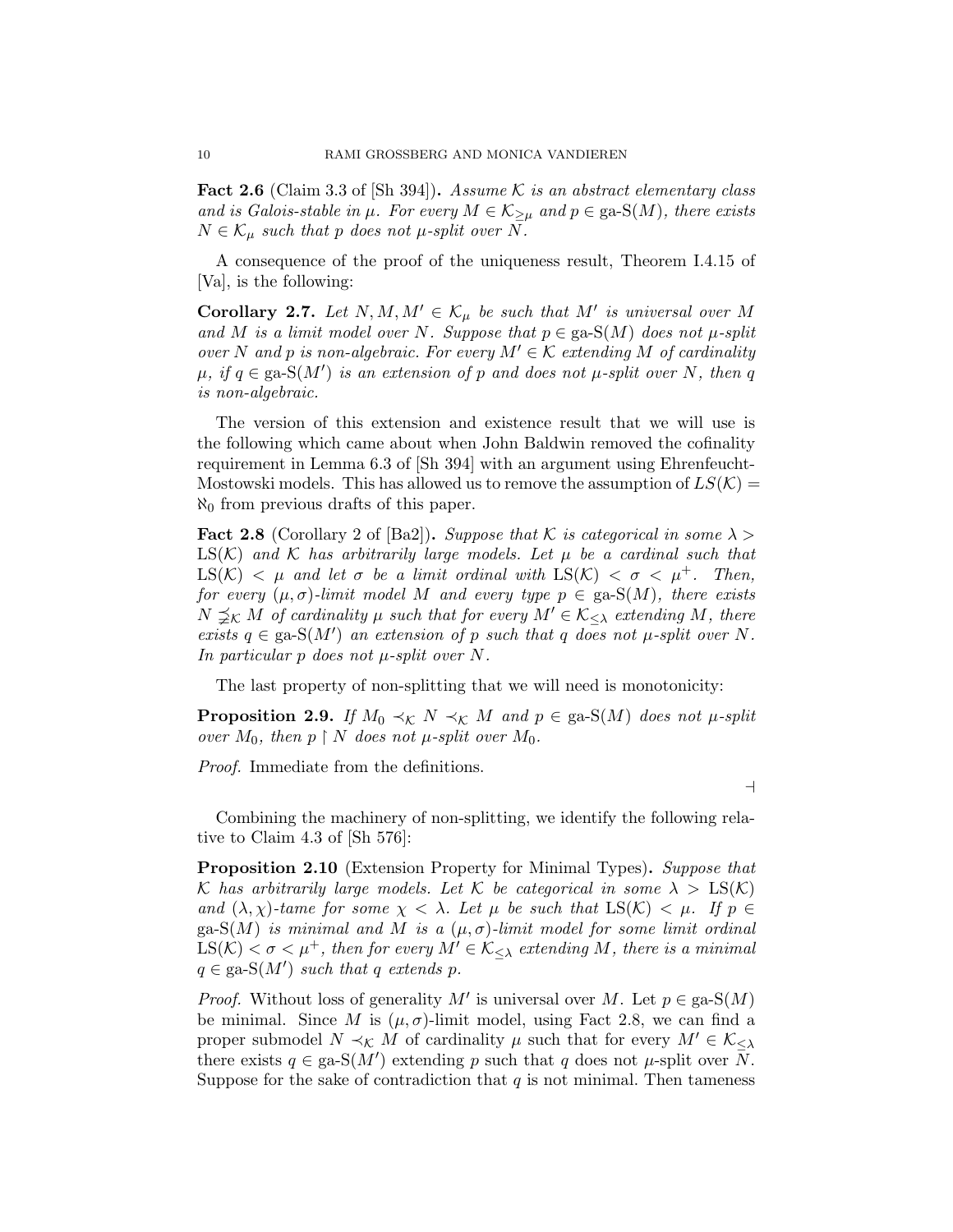**Fact 2.6** (Claim 3.3 of [Sh 394]). Assume K is an abstract elementary class and is Galois-stable in  $\mu$ . For every  $M \in \mathcal{K}_{\geq \mu}$  and  $p \in \text{ga-S}(M)$ , there exists  $N \in \mathcal{K}_{\mu}$  such that p does not  $\mu$ -split over N.

A consequence of the proof of the uniqueness result, Theorem I.4.15 of [Va], is the following:

**Corollary 2.7.** Let  $N, M, M' \in \mathcal{K}_{\mu}$  be such that M' is universal over M and M is a limit model over N. Suppose that  $p \in \text{ga-S}(M)$  does not  $\mu$ -split over N and p is non-algebraic. For every  $M' \in \mathcal{K}$  extending M of cardinality  $\mu$ , if  $q \in \text{ga-S}(M')$  is an extension of p and does not  $\mu$ -split over N, then q is non-algebraic.

The version of this extension and existence result that we will use is the following which came about when John Baldwin removed the cofinality requirement in Lemma 6.3 of [Sh 394] with an argument using Ehrenfeucht-Mostowski models. This has allowed us to remove the assumption of  $LS(K)$  =  $\aleph_0$  from previous drafts of this paper.

**Fact 2.8** (Corollary 2 of [Ba2]). Suppose that K is categorical in some  $\lambda$  $LS(K)$  and K has arbitrarily large models. Let  $\mu$  be a cardinal such that  $\text{LS}(\mathcal{K}) < \mu$  and let  $\sigma$  be a limit ordinal with  $\text{LS}(\mathcal{K}) < \sigma < \mu^+$ . Then, for every  $(\mu, \sigma)$ -limit model M and every type  $p \in \text{ga-S}(M)$ , there exists  $N \preceq_K M$  of cardinality  $\mu$  such that for every  $M' \in \mathcal{K}_{\leq \lambda}$  extending M, there exists  $q \in \text{ga-S}(M')$  an extension of p such that q does not  $\mu$ -split over N. In particular p does not  $\mu$ -split over N.

The last property of non-splitting that we will need is monotonicity:

**Proposition 2.9.** If  $M_0 \prec_{\mathcal{K}} N \prec_{\mathcal{K}} M$  and  $p \in \text{ga-S}(M)$  does not  $\mu$ -split over  $M_0$ , then  $p \restriction N$  does not  $\mu$ -split over  $M_0$ .

Proof. Immediate from the definitions.

 $\overline{a}$ 

Combining the machinery of non-splitting, we identify the following relative to Claim 4.3 of [Sh 576]:

**Proposition 2.10** (Extension Property for Minimal Types). Suppose that K has arbitrarily large models. Let K be categorical in some  $\lambda > \text{LS}(\mathcal{K})$ and  $(\lambda, \chi)$ -tame for some  $\chi < \lambda$ . Let  $\mu$  be such that  $LS(\mathcal{K}) < \mu$ . If  $p \in$ ga-S(M) is minimal and M is a  $(\mu, \sigma)$ -limit model for some limit ordinal  $LS(K) < \sigma < \mu^+$ , then for every  $M' \in \mathcal{K}_{\leq \lambda}$  extending M, there is a minimal  $q \in \text{ga-S}(M')$  such that q extends p.

*Proof.* Without loss of generality M' is universal over M. Let  $p \in \text{ga-S}(M)$ be minimal. Since M is  $(\mu, \sigma)$ -limit model, using Fact 2.8, we can find a proper submodel  $N \prec_{\mathcal{K}} M$  of cardinality  $\mu$  such that for every  $M' \in \mathcal{K}_{\leq \lambda}$ there exists  $q \in \text{ga-S}(M')$  extending p such that q does not  $\mu$ -split over  $\overline{N}$ . Suppose for the sake of contradiction that  $q$  is not minimal. Then tameness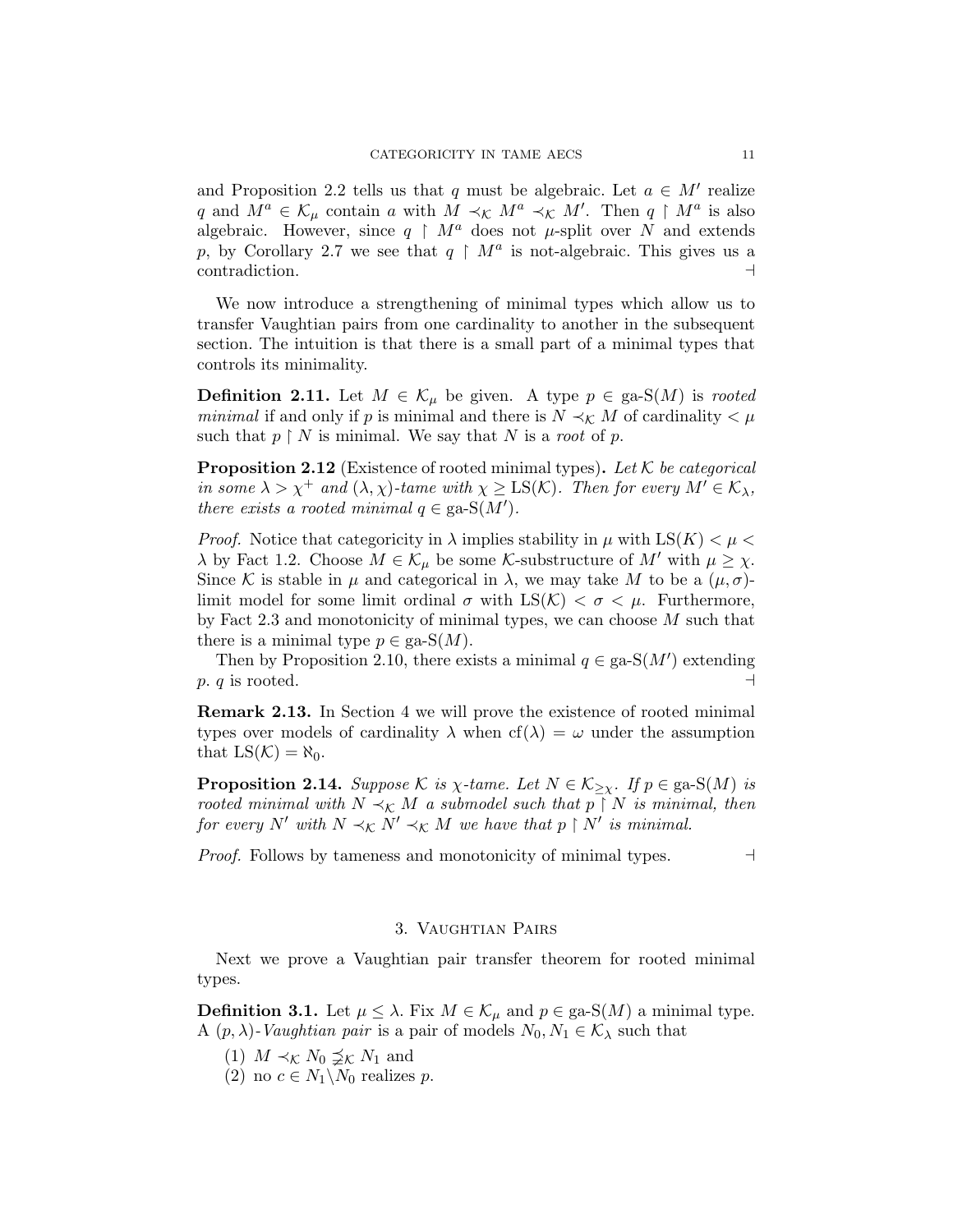and Proposition 2.2 tells us that q must be algebraic. Let  $a \in M'$  realize q and  $M^a \in \mathcal{K}_{\mu}$  contain a with  $M \prec_{\mathcal{K}} M^a \prec_{\mathcal{K}} M'$ . Then  $q \restriction M^a$  is also algebraic. However, since  $q \restriction M^a$  does not  $\mu$ -split over N and extends p, by Corollary 2.7 we see that  $q \restriction M^a$  is not-algebraic. This gives us a  $\Box$ contradiction.  $\Box$ 

We now introduce a strengthening of minimal types which allow us to transfer Vaughtian pairs from one cardinality to another in the subsequent section. The intuition is that there is a small part of a minimal types that controls its minimality.

**Definition 2.11.** Let  $M \in \mathcal{K}_{\mu}$  be given. A type  $p \in \text{ga-S}(M)$  is rooted *minimal* if and only if p is minimal and there is  $N \prec_K M$  of cardinality  $\lt \mu$ such that  $p \restriction N$  is minimal. We say that N is a root of p.

**Proposition 2.12** (Existence of rooted minimal types). Let K be categorical in some  $\lambda > \chi^+$  and  $(\lambda, \chi)$ -tame with  $\chi \geq LS(\mathcal{K})$ . Then for every  $M' \in \mathcal{K}_{\lambda}$ , there exists a rooted minimal  $q \in \text{ga-S}(M')$ .

*Proof.* Notice that categoricity in  $\lambda$  implies stability in  $\mu$  with LS(K)  $\lt \mu$  $\lambda$  by Fact 1.2. Choose  $M \in \mathcal{K}_{\mu}$  be some *K*-substructure of  $M'$  with  $\mu \geq \chi$ . Since K is stable in  $\mu$  and categorical in  $\lambda$ , we may take M to be a  $(\mu, \sigma)$ limit model for some limit ordinal  $\sigma$  with  $LS(\mathcal{K}) < \sigma < \mu$ . Furthermore, by Fact 2.3 and monotonicity of minimal types, we can choose  $M$  such that there is a minimal type  $p \in \text{ga-S}(M)$ .

Then by Proposition 2.10, there exists a minimal  $q \in \text{ga-S}(M')$  extending p. q is rooted.  $\Box$ 

Remark 2.13. In Section 4 we will prove the existence of rooted minimal types over models of cardinality  $\lambda$  when  $cf(\lambda) = \omega$  under the assumption that  $LS(K) = \aleph_0$ .

**Proposition 2.14.** Suppose K is  $\chi$ -tame. Let  $N \in \mathcal{K}_{\geq \chi}$ . If  $p \in \text{ga-S}(M)$  is rooted minimal with  $N \prec_K M$  a submodel such that  $p \restriction N$  is minimal, then for every N' with  $N \prec_K N' \prec_K M$  we have that  $p \restriction N'$  is minimal.

*Proof.* Follows by tameness and monotonicity of minimal types.  $\Box$ 

## 3. Vaughtian Pairs

Next we prove a Vaughtian pair transfer theorem for rooted minimal types.

**Definition 3.1.** Let  $\mu \leq \lambda$ . Fix  $M \in \mathcal{K}_{\mu}$  and  $p \in \text{ga-S}(M)$  a minimal type. A  $(p, \lambda)$ -Vaughtian pair is a pair of models  $N_0, N_1 \in \mathcal{K}_{\lambda}$  such that

- (1)  $M \prec_{\mathcal{K}} N_0 \preceq_{\mathcal{K}} N_1$  and
- (2) no  $c \in N_1 \backslash N_0$  realizes p.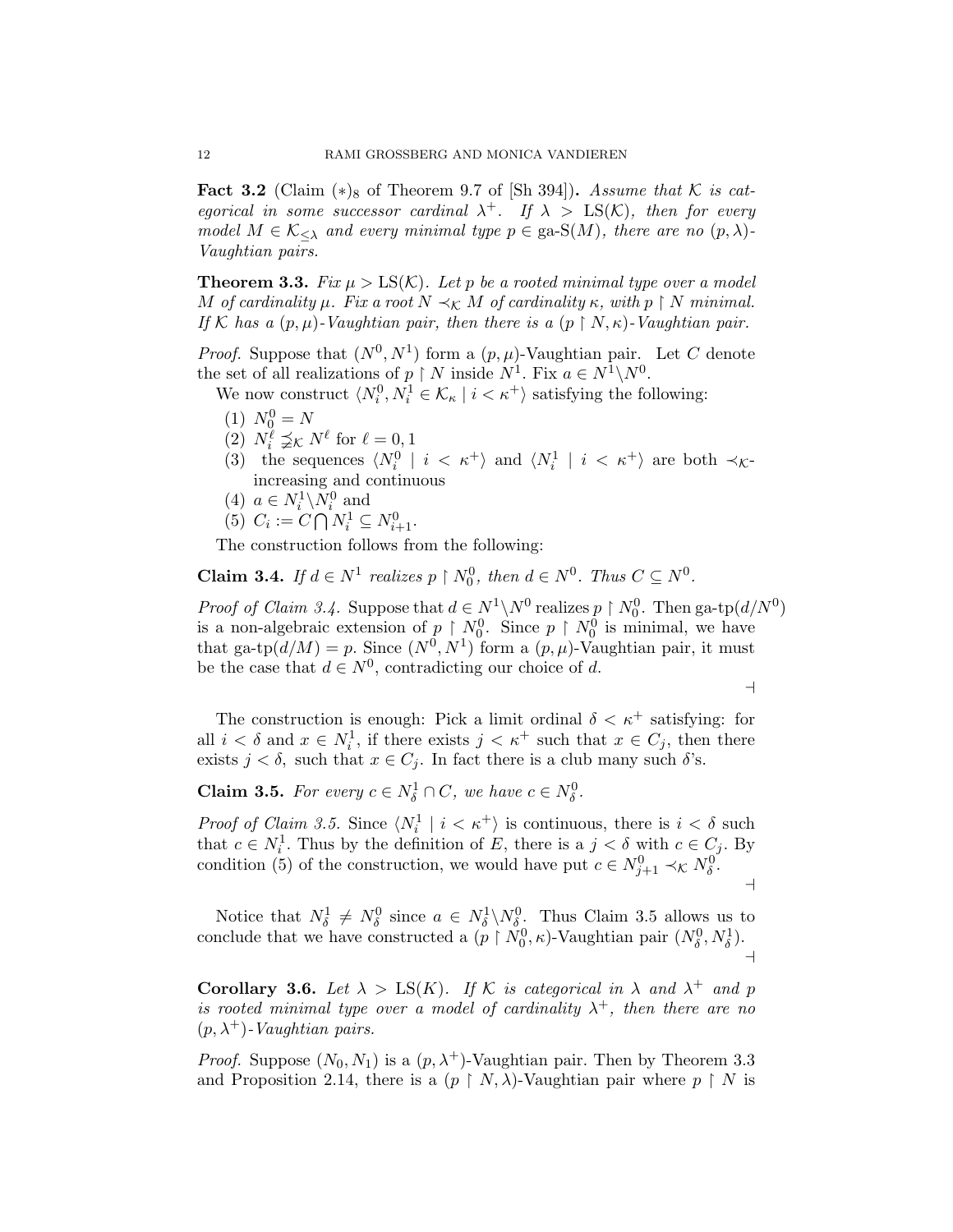Fact 3.2 (Claim  $(*)_8$  of Theorem 9.7 of [Sh 394]). Assume that K is categorical in some successor cardinal  $\lambda^+$ . If  $\lambda > \text{LS}(\mathcal{K})$ , then for every model  $M \in \mathcal{K}_{\leq \lambda}$  and every minimal type  $p \in \text{ga-S}(M)$ , there are no  $(p, \lambda)$ -Vaughtian pairs.

**Theorem 3.3.** Fix  $\mu > LS(K)$ . Let p be a rooted minimal type over a model M of cardinality  $\mu$ . Fix a root  $N \prec_K M$  of cardinality  $\kappa$ , with  $p \restriction N$  minimal. If K has a  $(p, \mu)$ -Vaughtian pair, then there is a  $(p \restriction N, \kappa)$ -Vaughtian pair.

*Proof.* Suppose that  $(N^0, N^1)$  form a  $(p, \mu)$ -Vaughtian pair. Let C denote the set of all realizations of  $p \restriction N$  inside  $N^1$ . Fix  $a \in N^1 \backslash N^0$ .

We now construct  $\langle N_i^0, N_i^1 \in \mathcal{K}_\kappa | i \langle \kappa^+ \rangle$  satisfying the following:

- (1)  $N_0^0 = N$
- (2)  $N_i^{\ell} \preceq_K N^{\ell}$  for  $\ell = 0, 1$
- (3) the sequences  $\langle N_i^0 | i \langle \kappa^+ \rangle$  and  $\langle N_i^1 | i \langle \kappa^+ \rangle$  are both  $\prec_{\mathcal{K}}$ increasing and continuous
- (4)  $a \in N_i^1 \backslash N_i^0$  and
- (5)  $C_i := C \bigcap N_i^1 \subseteq N_{i+1}^0$ .

The construction follows from the following:

**Claim 3.4.** If  $d \in N^1$  realizes  $p \restriction N_0^0$ , then  $d \in N^0$ . Thus  $C \subseteq N^0$ .

*Proof of Claim 3.4.* Suppose that  $d \in N^1 \backslash N^0$  realizes  $p \restriction N_0^0$ . Then ga-tp $(d/N^0)$ is a non-algebraic extension of  $p \restriction N_0^0$ . Since  $p \restriction N_0^0$  is minimal, we have that ga-tp $(d/M) = p$ . Since  $(N^0, N^1)$  form a  $(p, \mu)$ -Vaughtian pair, it must be the case that  $d \in N^0$ , contradicting our choice of d.

 $\overline{\phantom{0}}$ 

The construction is enough: Pick a limit ordinal  $\delta < \kappa^+$  satisfying: for all  $i < \delta$  and  $x \in N_i^1$ , if there exists  $j < \kappa^+$  such that  $x \in C_j$ , then there exists  $j < \delta$ , such that  $x \in C_j$ . In fact there is a club many such  $\delta$ 's.

**Claim 3.5.** For every  $c \in N_{\delta}^1 \cap C$ , we have  $c \in N_{\delta}^0$ .

*Proof of Claim 3.5.* Since  $\langle N_i^1 | i \rangle \langle \kappa^+ \rangle$  is continuous, there is  $i \langle \delta \rangle$  such that  $c \in N_i^1$ . Thus by the definition of E, there is a  $j < \delta$  with  $c \in C_j$ . By condition (5) of the construction, we would have put  $c \in N_{j+1}^0 \prec_{\mathcal{K}} N_{\delta}^0$ .  $\overline{a}$ 

Notice that  $N_{\delta}^1 \neq N_{\delta}^0$  since  $a \in N_{\delta}^1 \backslash N_{\delta}^0$ . Thus Claim 3.5 allows us to conclude that we have constructed a  $(p \restriction N_0^0, \kappa)$ -Vaughtian pair  $(N_\delta^0, N_\delta^1)$ .  $\overline{a}$ 

Corollary 3.6. Let  $\lambda > \text{LS}(K)$ . If K is categorical in  $\lambda$  and  $\lambda^+$  and p is rooted minimal type over a model of cardinality  $\lambda^+$ , then there are no  $(p, \lambda^+)$ -Vaughtian pairs.

*Proof.* Suppose  $(N_0, N_1)$  is a  $(p, \lambda^+)$ -Vaughtian pair. Then by Theorem 3.3 and Proposition 2.14, there is a  $(p \restriction N, \lambda)$ -Vaughtian pair where  $p \restriction N$  is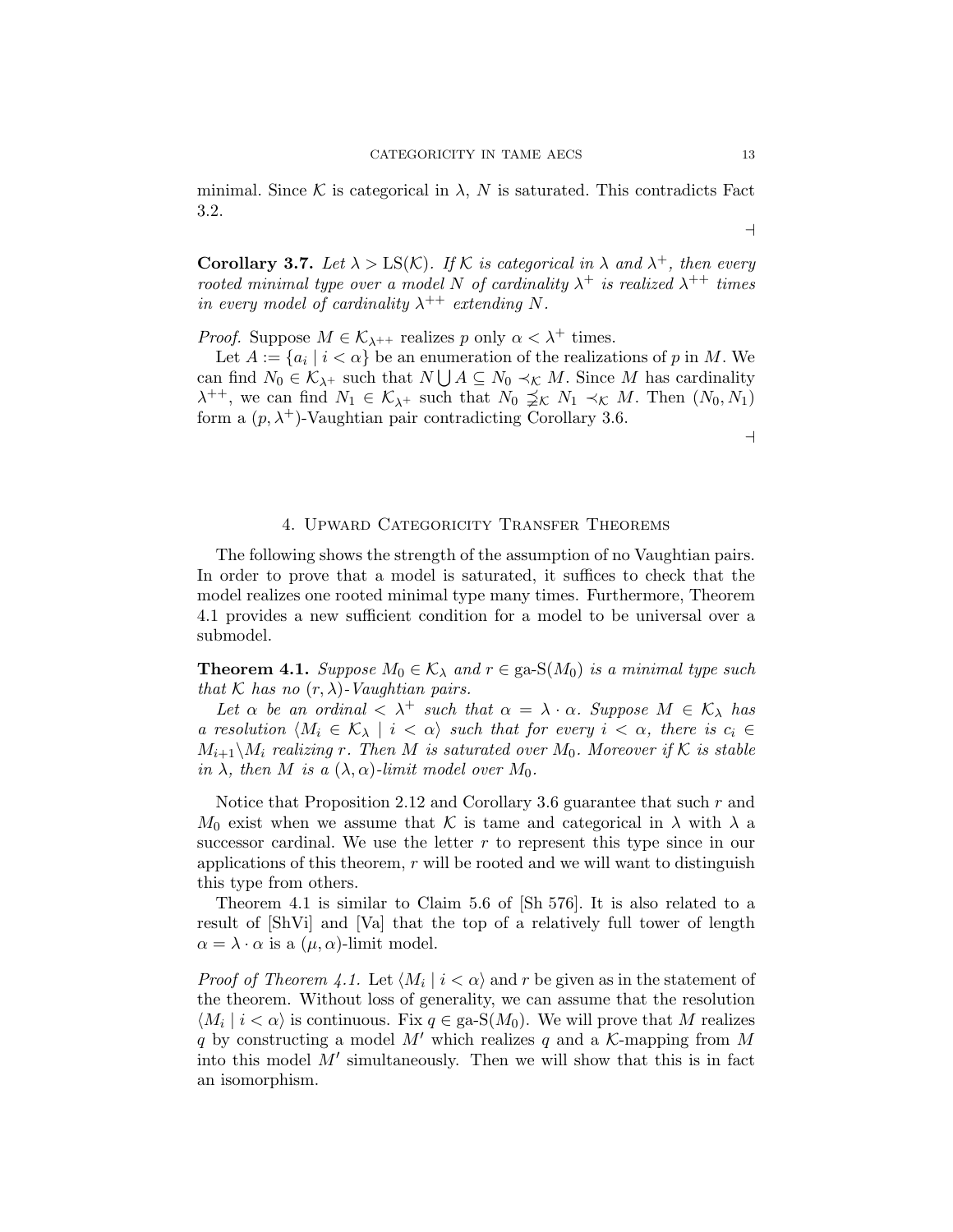minimal. Since K is categorical in  $\lambda$ , N is saturated. This contradicts Fact 3.2.

 $\overline{\phantom{a}}$ 

**Corollary 3.7.** Let  $\lambda > LS(K)$ . If K is categorical in  $\lambda$  and  $\lambda^{+}$ , then every rooted minimal type over a model N of cardinality  $\lambda^+$  is realized  $\lambda^{++}$  times in every model of cardinality  $\lambda^{++}$  extending N.

*Proof.* Suppose  $M \in \mathcal{K}_{\lambda^{++}}$  realizes p only  $\alpha < \lambda^+$  times.

Let  $A := \{a_i \mid i < \alpha\}$  be an enumeration of the realizations of p in M. We can find  $N_0 \in \mathcal{K}_{\lambda^+}$  such that  $N \bigcup A \subseteq N_0 \prec_{\mathcal{K}} M$ . Since M has cardinality  $\lambda^{++}$ , we can find  $N_1 \in \mathcal{K}_{\lambda^+}$  such that  $N_0 \nleq_K N_1 \prec_K M$ . Then  $(N_0, N_1)$ form a  $(p, \lambda^+)$ -Vaughtian pair contradicting Corollary 3.6.

 $\overline{\phantom{0}}$ 

## 4. Upward Categoricity Transfer Theorems

The following shows the strength of the assumption of no Vaughtian pairs. In order to prove that a model is saturated, it suffices to check that the model realizes one rooted minimal type many times. Furthermore, Theorem 4.1 provides a new sufficient condition for a model to be universal over a submodel.

**Theorem 4.1.** Suppose  $M_0 \in \mathcal{K}_{\lambda}$  and  $r \in \text{ga-S}(M_0)$  is a minimal type such that K has no  $(r, \lambda)$ -Vaughtian pairs.

Let  $\alpha$  be an ordinal  $\langle \lambda^+ \text{ such that } \alpha = \lambda \cdot \alpha$ . Suppose  $M \in \mathcal{K}_{\lambda}$  has a resolution  $\langle M_i \in \mathcal{K}_{\lambda} \mid i < \alpha \rangle$  such that for every  $i < \alpha$ , there is  $c_i \in$  $M_{i+1}\backslash M_i$  realizing r. Then M is saturated over  $M_0$ . Moreover if K is stable in  $\lambda$ , then M is a  $(\lambda, \alpha)$ -limit model over  $M_0$ .

Notice that Proposition 2.12 and Corollary 3.6 guarantee that such r and  $M_0$  exist when we assume that K is tame and categorical in  $\lambda$  with  $\lambda$  a successor cardinal. We use the letter  $r$  to represent this type since in our applications of this theorem,  $r$  will be rooted and we will want to distinguish this type from others.

Theorem 4.1 is similar to Claim 5.6 of [Sh 576]. It is also related to a result of [ShVi] and [Va] that the top of a relatively full tower of length  $\alpha = \lambda \cdot \alpha$  is a  $(\mu, \alpha)$ -limit model.

*Proof of Theorem 4.1.* Let  $\langle M_i | i \rangle \langle \alpha \rangle$  and r be given as in the statement of the theorem. Without loss of generality, we can assume that the resolution  $\langle M_i | i < \alpha \rangle$  is continuous. Fix  $q \in \text{ga-S}(M_0)$ . We will prove that M realizes q by constructing a model M' which realizes q and a K-mapping from M into this model  $M'$  simultaneously. Then we will show that this is in fact an isomorphism.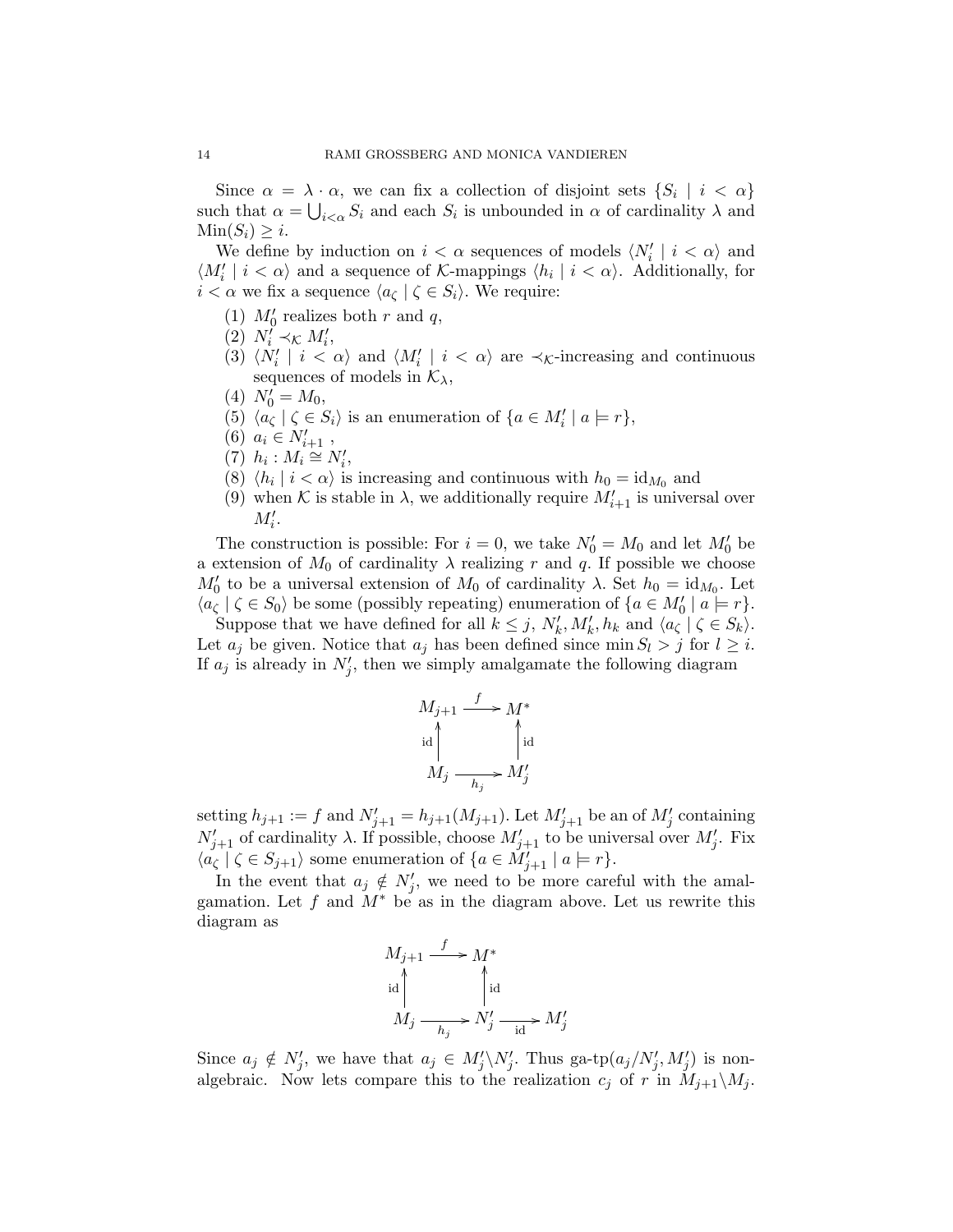Since  $\alpha = \lambda \cdot \alpha$ , we can fix a collection of disjoint sets  $\{S_i \mid i < \alpha\}$ such that  $\alpha = \bigcup_{i < \alpha} S_i$  and each  $S_i$  is unbounded in  $\alpha$  of cardinality  $\lambda$  and  $Min(S_i) \geq i$ .

We define by induction on  $i < \alpha$  sequences of models  $\langle N'_i | i < \alpha \rangle$  and  $\langle M'_i | i < \alpha \rangle$  and a sequence of K-mappings  $\langle h_i | i < \alpha \rangle$ . Additionally, for  $i < \alpha$  we fix a sequence  $\langle a_{\zeta} | \zeta \in S_i \rangle$ . We require:

- (1)  $M'_0$  realizes both r and q,
- (2)  $N'_i \prec_{\mathcal{K}} M'_i$ ,
- (3)  $\langle N'_i \mid i \leq \alpha \rangle$  and  $\langle M'_i \mid i \leq \alpha \rangle$  are  $\prec_{\mathcal{K}}$ -increasing and continuous sequences of models in  $\mathcal{K}_{\lambda}$ ,
- (4)  $N'_0 = M_0$ ,
- (5)  $\langle a_{\zeta} | \zeta \in S_i \rangle$  is an enumeration of  $\{a \in M'_i | a \models r\},\$
- (6)  $a_i \in N'_{i+1}$ ,
- $(Y)$   $h_i : M_i \cong N'_i,$
- (8)  $\langle h_i | i \rangle \langle \alpha \rangle$  is increasing and continuous with  $h_0 = \mathrm{id}_{M_0}$  and
- (9) when K is stable in  $\lambda$ , we additionally require  $M'_{i+1}$  is universal over  $M_i'.$

The construction is possible: For  $i = 0$ , we take  $N'_0 = M_0$  and let  $M'_0$  be a extension of  $M_0$  of cardinality  $\lambda$  realizing r and q. If possible we choose  $M'_0$  to be a universal extension of  $M_0$  of cardinality  $\lambda$ . Set  $h_0 = \mathrm{id}_{M_0}$ . Let  $\langle a_{\zeta} | \zeta \in S_0 \rangle$  be some (possibly repeating) enumeration of  $\{a \in M_0' | a \models r\}.$ 

Suppose that we have defined for all  $k \leq j$ ,  $N'_{k}$ ,  $M'_{k}$ ,  $h_{k}$  and  $\langle a_{\zeta} | \zeta \in S_{k} \rangle$ . Let  $a_j$  be given. Notice that  $a_j$  has been defined since min  $S_l > j$  for  $l \geq i$ . If  $a_j$  is already in  $N'_j$ , then we simply amalgamate the following diagram

$$
M_{j+1} \xrightarrow{f} M^*
$$
  
id  

$$
M_j \xrightarrow[h_j]{}
$$
  

$$
M'_j \xrightarrow[h_j]{}
$$

setting  $h_{j+1} := f$  and  $N'_{j+1} = h_{j+1}(M_{j+1})$ . Let  $M'_{j+1}$  be an of  $M'_{j}$  containing  $N'_{j+1}$  of cardinality  $\lambda$ . If possible, choose  $M'_{j+1}$  to be universal over  $M'_{j}$ . Fix  $\langle a_{\zeta} | \zeta \in S_{j+1} \rangle$  some enumeration of  $\{a \in M'_{j+1} | a \models r\}.$ 

In the event that  $a_j \notin N'_j$ , we need to be more careful with the amalgamation. Let f and  $M^*$  be as in the diagram above. Let us rewrite this diagram as

$$
M_{j+1} \xrightarrow{f} M^*
$$
  
\n
$$
\downarrow id
$$
  
\n
$$
M_j \xrightarrow[h_j]{}
$$
  
\n
$$
N'_j \xrightarrow[i_l]{}
$$
  
\n
$$
M'_j
$$

Since  $a_j \notin N'_j$ , we have that  $a_j \in M'_j \backslash N'_j$ . Thus ga-tp $(a_j/N'_j, M'_j)$  is nonalgebraic. Now lets compare this to the realization  $c_j$  of r in  $M_{j+1}\backslash M_j$ .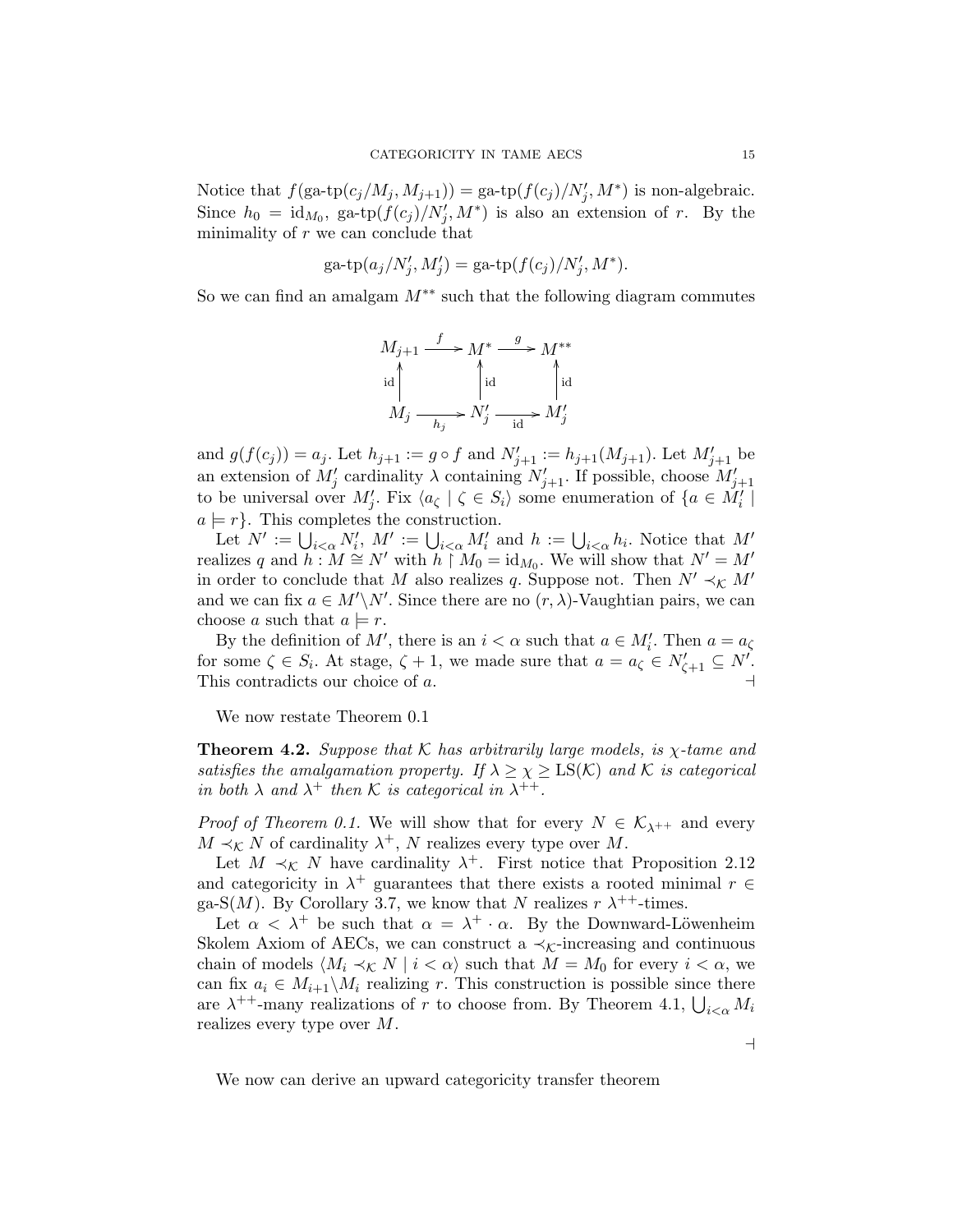Notice that  $f(\text{ga-tp}(c_j/M_j, M_{j+1})) = \text{ga-tp}(f(c_j)/N'_j, M^*)$  is non-algebraic. Since  $h_0 = \mathrm{id}_{M_0}$ , ga-tp $(f(c_j)/N'_j, M^*)$  is also an extension of r. By the minimality of  $r$  we can conclude that

$$
ga\text{-tp}(a_j/N'_j, M'_j) = ga\text{-tp}(f(c_j)/N'_j, M^*).
$$

So we can find an amalgam  $M^{**}$  such that the following diagram commutes

$$
M_{j+1} \xrightarrow{f} M^* \xrightarrow{g} M^{**}
$$
  
\n
$$
\downarrow id
$$
  
\n
$$
M_j \xrightarrow[h_j]{}
$$
  
\n
$$
N'_j \xrightarrow{id} M'_j
$$

and  $g(f(c_j)) = a_j$ . Let  $h_{j+1} := g \circ f$  and  $N'_{j+1} := h_{j+1}(M_{j+1})$ . Let  $M'_{j+1}$  be an extension of  $M'_j$  cardinality  $\lambda$  containing  $N'_{j+1}$ . If possible, choose  $M'_{j+1}$ to be universal over  $M'_j$ . Fix  $\langle a_{\zeta} | \zeta \in S_i \rangle$  some enumeration of  $\{a \in M'_i |$  $a \models r$ . This completes the construction.

Let  $N' := \bigcup_{i < \alpha} N'_i$ ,  $M' := \bigcup_{i < \alpha} M'_i$  and  $h := \bigcup_{i < \alpha} h_i$ . Notice that  $M'$ realizes q and  $h: M \cong N'$  with  $h \upharpoonright M_0 = \mathrm{id}_{M_0}$ . We will show that  $N' = M'$ in order to conclude that M also realizes q. Suppose not. Then  $N' \prec_K M'$ and we can fix  $a \in M' \backslash N'$ . Since there are no  $(r, \lambda)$ -Vaughtian pairs, we can choose a such that  $a \models r$ .

By the definition of M', there is an  $i < \alpha$  such that  $a \in M'_i$ . Then  $a = a_{\zeta}$ for some  $\zeta \in S_i$ . At stage,  $\zeta + 1$ , we made sure that  $a = a_{\zeta} \in N'_{\zeta+1} \subseteq N'$ . This contradicts our choice of a.  $\Box$ 

We now restate Theorem 0.1

**Theorem 4.2.** Suppose that K has arbitrarily large models, is  $\chi$ -tame and satisfies the amalgamation property. If  $\lambda \geq \chi \geq \text{LS}(\mathcal{K})$  and  $\mathcal{K}$  is categorical in both  $\lambda$  and  $\lambda^+$  then K is categorical in  $\lambda^{++}$ .

*Proof of Theorem 0.1.* We will show that for every  $N \in \mathcal{K}_{\lambda^{++}}$  and every  $M \prec_{\mathcal{K}} N$  of cardinality  $\lambda^+$ , N realizes every type over M.

Let  $M \prec_{\mathcal{K}} N$  have cardinality  $\lambda^+$ . First notice that Proposition 2.12 and categoricity in  $\lambda^+$  guarantees that there exists a rooted minimal  $r \in$ ga-S $(M)$ . By Corollary 3.7, we know that N realizes  $r \lambda^{++}$ -times.

Let  $\alpha < \lambda^+$  be such that  $\alpha = \lambda^+ \cdot \alpha$ . By the Downward-Löwenheim Skolem Axiom of AECs, we can construct a  $\prec_{\mathcal{K}}$ -increasing and continuous chain of models  $\langle M_i \prec_{\mathcal{K}} N \mid i < \alpha \rangle$  such that  $M = M_0$  for every  $i < \alpha$ , we can fix  $a_i \in M_{i+1} \backslash M_i$  realizing r. This construction is possible since there are  $\lambda^{++}$ -many realizations of r to choose from. By Theorem 4.1,  $\bigcup_{i<\alpha} M_i$ realizes every type over M.

We now can derive an upward categoricity transfer theorem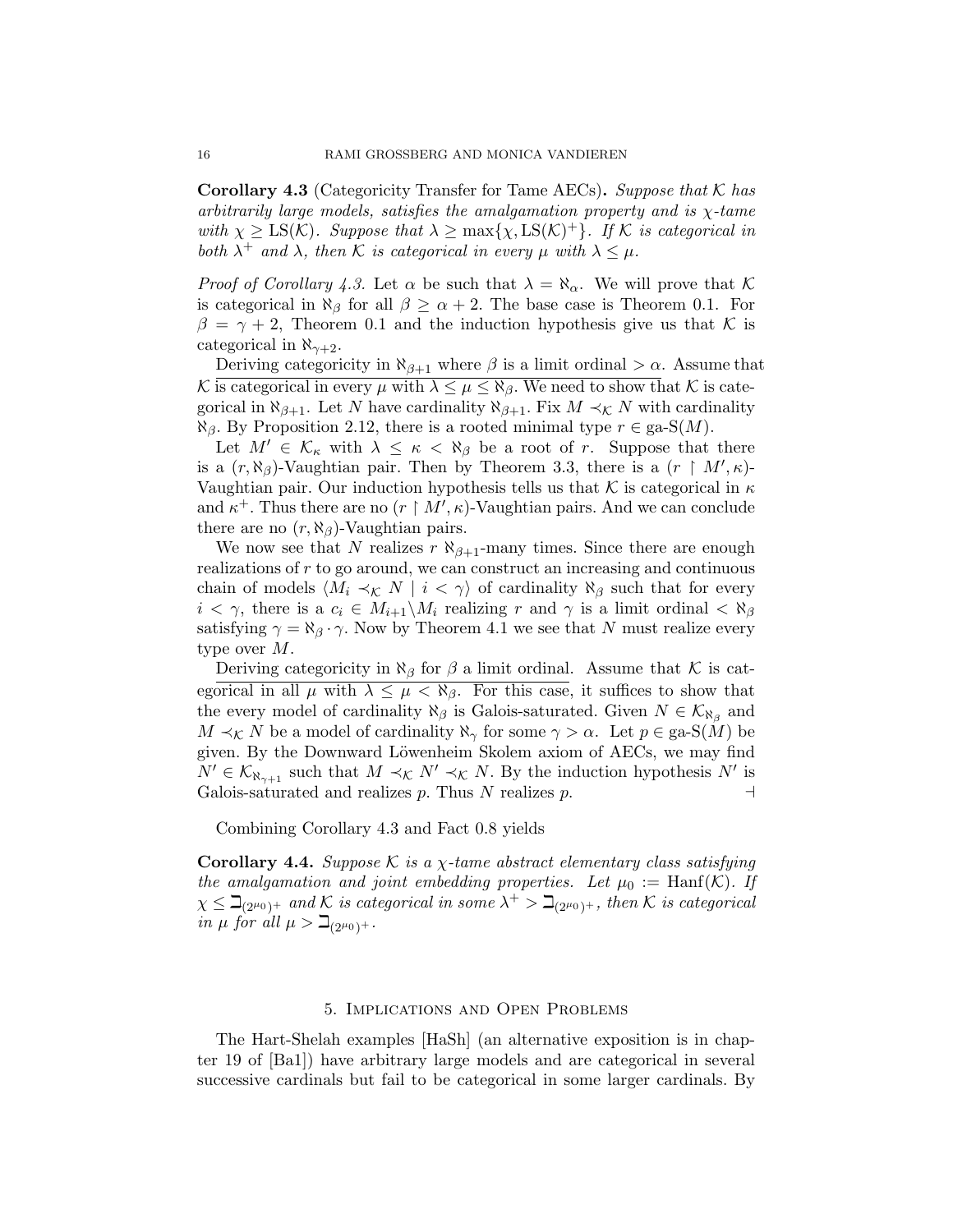**Corollary 4.3** (Categoricity Transfer for Tame AECs). Suppose that  $\mathcal{K}$  has arbitrarily large models, satisfies the amalgamation property and is  $\chi$ -tame with  $\chi \geq \text{LS}(\mathcal{K})$ . Suppose that  $\lambda \geq \max{\chi, \text{LS}(\mathcal{K})^+}$ . If  $\mathcal{K}$  is categorical in both  $\lambda^+$  and  $\lambda$ , then K is categorical in every  $\mu$  with  $\lambda \leq \mu$ .

*Proof of Corollary 4.3.* Let  $\alpha$  be such that  $\lambda = \aleph_{\alpha}$ . We will prove that K is categorical in  $\aleph_{\beta}$  for all  $\beta \geq \alpha + 2$ . The base case is Theorem 0.1. For  $\beta = \gamma + 2$ , Theorem 0.1 and the induction hypothesis give us that K is categorical in  $\aleph_{\gamma+2}$ .

Deriving categoricity in  $\aleph_{\beta+1}$  where  $\beta$  is a limit ordinal  $>\alpha$ . Assume that K is categorical in every  $\mu$  with  $\lambda \leq \mu \leq \aleph_{\beta}$ . We need to show that K is categorical in  $\aleph_{\beta+1}$ . Let N have cardinality  $\aleph_{\beta+1}$ . Fix  $M \prec_K N$  with cardinality  $\aleph_{\beta}$ . By Proposition 2.12, there is a rooted minimal type  $r \in \text{ga-S}(M)$ .

Let  $M' \in \mathcal{K}_{\kappa}$  with  $\lambda \leq \kappa < \aleph_{\beta}$  be a root of r. Suppose that there is a  $(r, \aleph_{\beta})$ -Vaughtian pair. Then by Theorem 3.3, there is a  $(r \restriction M', \kappa)$ -Vaughtian pair. Our induction hypothesis tells us that K is categorical in  $\kappa$ and  $\kappa^+$ . Thus there are no  $(r \upharpoonright M', \kappa)$ -Vaughtian pairs. And we can conclude there are no  $(r, \aleph_{\beta})$ -Vaughtian pairs.

We now see that N realizes r  $\aleph_{\beta+1}$ -many times. Since there are enough realizations of r to go around, we can construct an increasing and continuous chain of models  $\langle M_i \prec_K N \mid i < \gamma \rangle$  of cardinality  $\aleph_\beta$  such that for every  $i < \gamma$ , there is a  $c_i \in M_{i+1} \backslash M_i$  realizing r and  $\gamma$  is a limit ordinal  $\langle \aleph_{\beta}$ satisfying  $\gamma = \aleph_{\beta} \cdot \gamma$ . Now by Theorem 4.1 we see that N must realize every type over M.

Deriving categoricity in  $\aleph_{\beta}$  for  $\beta$  a limit ordinal. Assume that K is categorical in all  $\mu$  with  $\lambda \leq \mu < \aleph_{\beta}$ . For this case, it suffices to show that the every model of cardinality  $\aleph_{\beta}$  is Galois-saturated. Given  $N \in \mathcal{K}_{\aleph_{\beta}}$  and  $M \prec_{\mathcal{K}} N$  be a model of cardinality  $\aleph_{\gamma}$  for some  $\gamma > \alpha$ . Let  $p \in \text{ga-S}(M)$  be given. By the Downward Löwenheim Skolem axiom of AECs, we may find  $N' \in \mathcal{K}_{\aleph_{\gamma+1}}$  such that  $M \prec_{\mathcal{K}} N' \prec_{\mathcal{K}} N$ . By the induction hypothesis  $N'$  is Galois-saturated and realizes p. Thus N realizes p.  $\Box$ 

Combining Corollary 4.3 and Fact 0.8 yields

Corollary 4.4. Suppose K is a  $\chi$ -tame abstract elementary class satisfying the amalgamation and joint embedding properties. Let  $\mu_0 := \text{Hanf}(\mathcal{K})$ . If  $\chi \leq \beth_{(2^{\mu_0})^+}$  and K is categorical in some  $\lambda^+ > \beth_{(2^{\mu_0})^+}$ , then K is categorical in  $\mu$  for all  $\mu > \beth_{(2^{\mu_0})^+}.$ 

#### 5. Implications and Open Problems

The Hart-Shelah examples [HaSh] (an alternative exposition is in chapter 19 of [Ba1]) have arbitrary large models and are categorical in several successive cardinals but fail to be categorical in some larger cardinals. By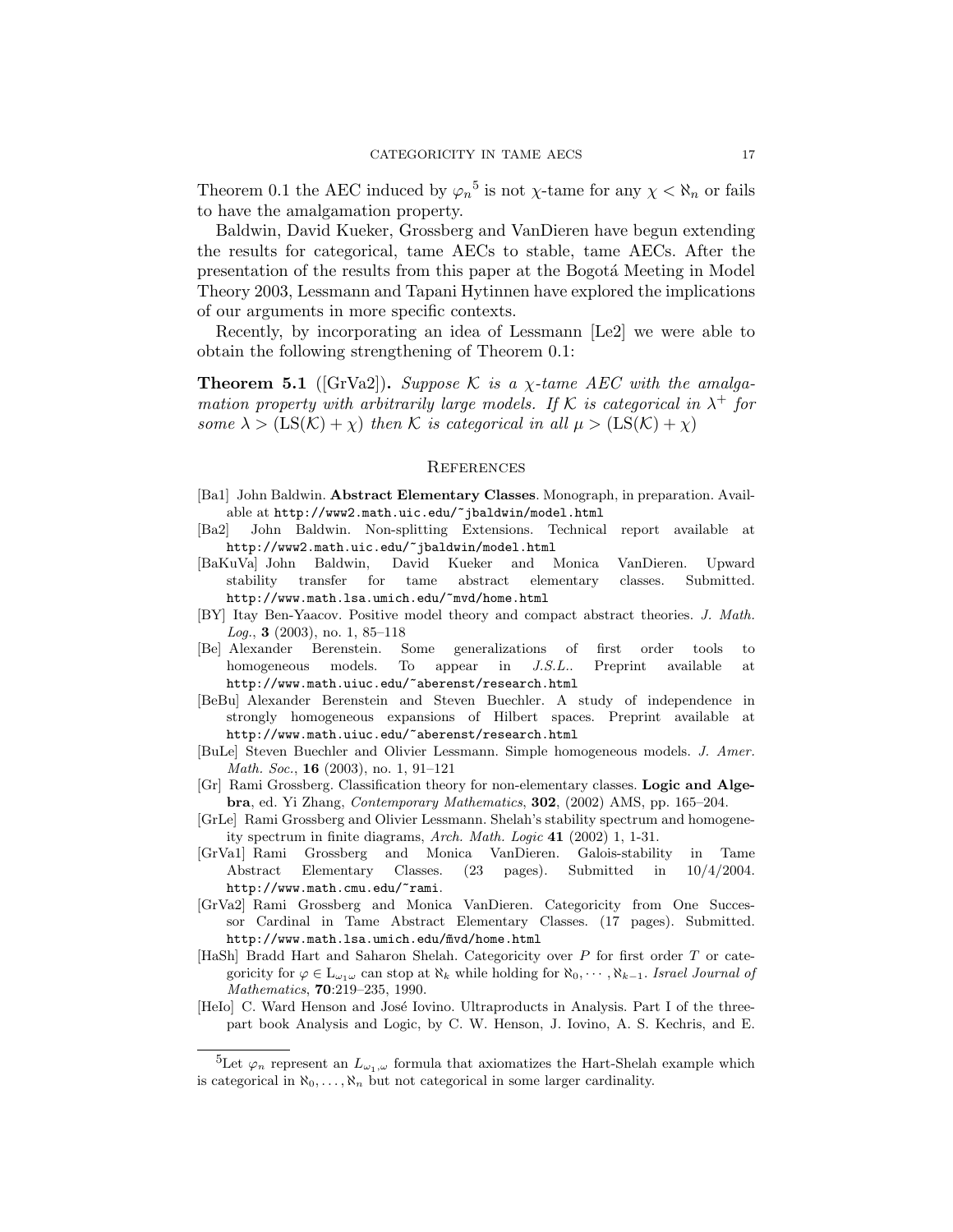Theorem 0.1 the AEC induced by  $\varphi_n^5$  is not  $\chi$ -tame for any  $\chi < \aleph_n$  or fails to have the amalgamation property.

Baldwin, David Kueker, Grossberg and VanDieren have begun extending the results for categorical, tame AECs to stable, tame AECs. After the presentation of the results from this paper at the Bogotá Meeting in Model Theory 2003, Lessmann and Tapani Hytinnen have explored the implications of our arguments in more specific contexts.

Recently, by incorporating an idea of Lessmann [Le2] we were able to obtain the following strengthening of Theorem 0.1:

**Theorem 5.1** ([GrVa2]). Suppose K is a  $\chi$ -tame AEC with the amalgamation property with arbitrarily large models. If K is categorical in  $\lambda^+$  for some  $\lambda > (LS(K) + \chi)$  then K is categorical in all  $\mu > (LS(K) + \chi)$ 

#### **REFERENCES**

- [Ba1] John Baldwin. Abstract Elementary Classes. Monograph, in preparation. Available at http://www2.math.uic.edu/~jbaldwin/model.html
- [Ba2] John Baldwin. Non-splitting Extensions. Technical report available at http://www2.math.uic.edu/~jbaldwin/model.html
- [BaKuVa] John Baldwin, David Kueker and Monica VanDieren. Upward stability transfer for tame abstract elementary classes. Submitted. http://www.math.lsa.umich.edu/~mvd/home.html
- [BY] Itay Ben-Yaacov. Positive model theory and compact abstract theories. J. Math.  $Log., 3 (2003), no. 1, 85-118$
- [Be] Alexander Berenstein. Some generalizations of first order tools to homogeneous models. To appear in J.S.L.. Preprint available at http://www.math.uiuc.edu/~aberenst/research.html
- [BeBu] Alexander Berenstein and Steven Buechler. A study of independence in strongly homogeneous expansions of Hilbert spaces. Preprint available http://www.math.uiuc.edu/~aberenst/research.html
- [BuLe] Steven Buechler and Olivier Lessmann. Simple homogeneous models. J. Amer. Math. Soc., **16** (2003), no. 1, 91-121
- [Gr] Rami Grossberg. Classification theory for non-elementary classes. Logic and Algebra, ed. Yi Zhang, Contemporary Mathematics, 302, (2002) AMS, pp. 165–204.
- [GrLe] Rami Grossberg and Olivier Lessmann. Shelah's stability spectrum and homogeneity spectrum in finite diagrams, Arch. Math. Logic 41 (2002) 1, 1-31.
- [GrVa1] Rami Grossberg and Monica VanDieren. Galois-stability in Tame Abstract Elementary Classes. (23 pages). Submitted in 10/4/2004. http://www.math.cmu.edu/~rami.
- [GrVa2] Rami Grossberg and Monica VanDieren. Categoricity from One Successor Cardinal in Tame Abstract Elementary Classes. (17 pages). Submitted. http://www.math.lsa.umich.edu/mvd/home.html
- [HaSh] Bradd Hart and Saharon Shelah. Categoricity over P for first order T or categoricity for  $\varphi \in L_{\omega_1\omega}$  can stop at  $\aleph_k$  while holding for  $\aleph_0, \dots, \aleph_{k-1}$ . Israel Journal of Mathematics, 70:219–235, 1990.
- [HeIo] C. Ward Henson and José Iovino. Ultraproducts in Analysis. Part I of the threepart book Analysis and Logic, by C. W. Henson, J. Iovino, A. S. Kechris, and E.

<sup>&</sup>lt;sup>5</sup>Let  $\varphi_n$  represent an  $L_{\omega_1,\omega}$  formula that axiomatizes the Hart-Shelah example which is categorical in  $\aleph_0, \ldots, \aleph_n$  but not categorical in some larger cardinality.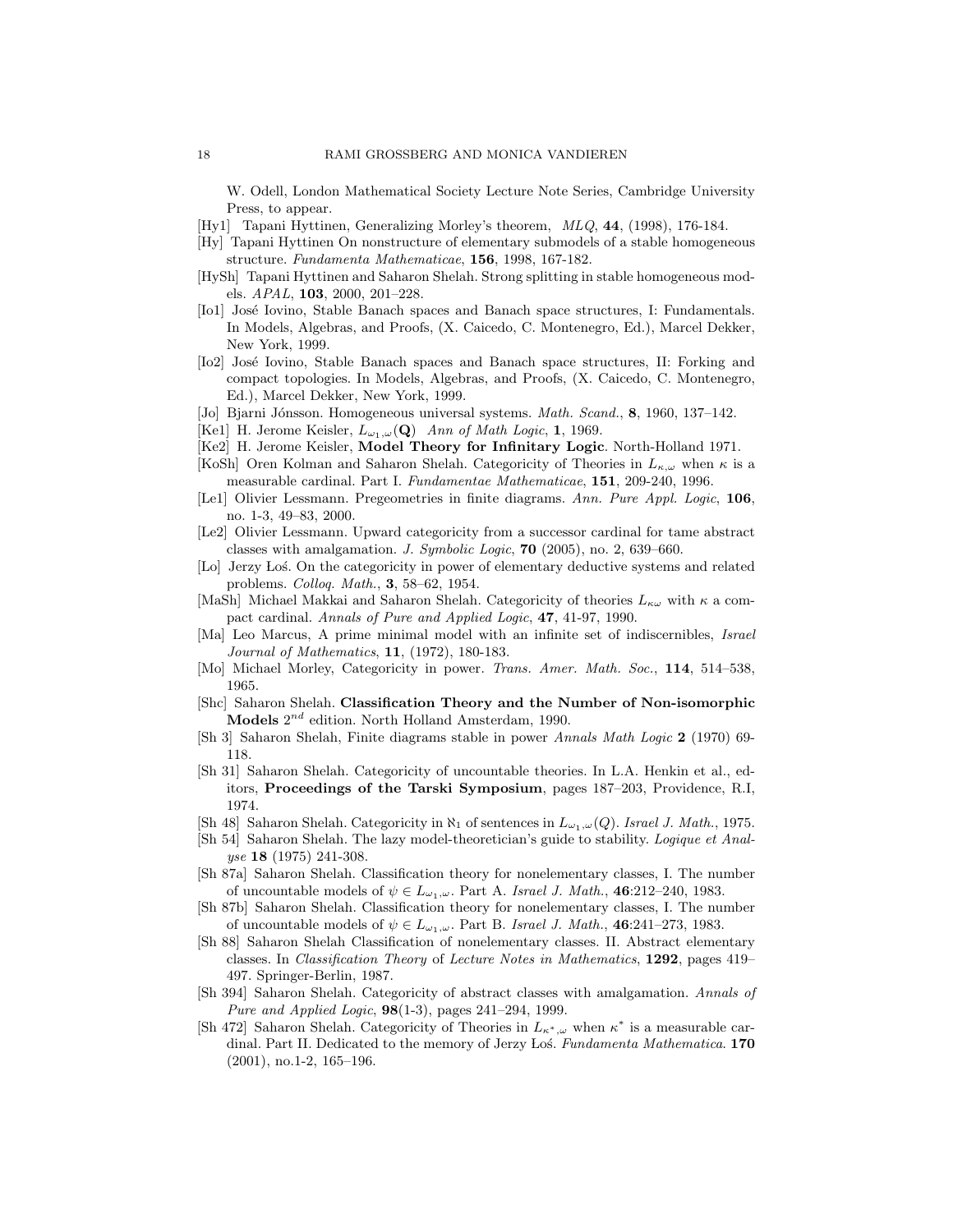W. Odell, London Mathematical Society Lecture Note Series, Cambridge University Press, to appear.

- [Hy1] Tapani Hyttinen, Generalizing Morley's theorem, MLQ, 44, (1998), 176-184.
- [Hy] Tapani Hyttinen On nonstructure of elementary submodels of a stable homogeneous structure. Fundamenta Mathematicae, 156, 1998, 167-182.
- [HySh] Tapani Hyttinen and Saharon Shelah. Strong splitting in stable homogeneous models. APAL, 103, 2000, 201–228.
- [Io1] José Iovino, Stable Banach spaces and Banach space structures, I: Fundamentals. In Models, Algebras, and Proofs, (X. Caicedo, C. Montenegro, Ed.), Marcel Dekker, New York, 1999.
- [Io2] José Iovino, Stable Banach spaces and Banach space structures, II: Forking and compact topologies. In Models, Algebras, and Proofs, (X. Caicedo, C. Montenegro, Ed.), Marcel Dekker, New York, 1999.
- [Jo] Bjarni Jónsson. Homogeneous universal systems. Math. Scand., 8, 1960, 137–142.
- [Ke1] H. Jerome Keisler,  $L_{\omega_1,\omega}(\mathbf{Q})$  Ann of Math Logic, 1, 1969.
- [Ke2] H. Jerome Keisler, Model Theory for Infinitary Logic. North-Holland 1971.
- [KoSh] Oren Kolman and Saharon Shelah. Categoricity of Theories in  $L_{\kappa,\omega}$  when  $\kappa$  is a measurable cardinal. Part I. Fundamentae Mathematicae, 151, 209-240, 1996.
- [Le1] Olivier Lessmann. Pregeometries in finite diagrams. Ann. Pure Appl. Logic, 106, no. 1-3, 49–83, 2000.
- [Le2] Olivier Lessmann. Upward categoricity from a successor cardinal for tame abstract classes with amalgamation. J. Symbolic Logic,  $70$  (2005), no. 2, 639–660.
- [Lo] Jerzy Los. On the categoricity in power of elementary deductive systems and related problems. Colloq. Math., 3, 58–62, 1954.
- [MaSh] Michael Makkai and Saharon Shelah. Categoricity of theories  $L_{\kappa\omega}$  with  $\kappa$  a compact cardinal. Annals of Pure and Applied Logic, 47, 41-97, 1990.
- [Ma] Leo Marcus, A prime minimal model with an infinite set of indiscernibles, Israel Journal of Mathematics, 11, (1972), 180-183.
- [Mo] Michael Morley, Categoricity in power. Trans. Amer. Math. Soc., 114, 514–538, 1965.
- [Shc] Saharon Shelah. Classification Theory and the Number of Non-isomorphic Models  $2^{nd}$  edition. North Holland Amsterdam, 1990.
- [Sh 3] Saharon Shelah, Finite diagrams stable in power Annals Math Logic 2 (1970) 69- 118.
- [Sh 31] Saharon Shelah. Categoricity of uncountable theories. In L.A. Henkin et al., editors, Proceedings of the Tarski Symposium, pages 187–203, Providence, R.I, 1974.
- [Sh 48] Saharon Shelah. Categoricity in  $\aleph_1$  of sentences in  $L_{\omega_1,\omega}(Q)$ . Israel J. Math., 1975.
- [Sh 54] Saharon Shelah. The lazy model-theoretician's guide to stability. Logique et Analyse 18 (1975) 241-308.
- [Sh 87a] Saharon Shelah. Classification theory for nonelementary classes, I. The number of uncountable models of  $\psi \in L_{\omega_1,\omega}$ . Part A. Israel J. Math., 46:212–240, 1983.
- [Sh 87b] Saharon Shelah. Classification theory for nonelementary classes, I. The number of uncountable models of  $\psi \in L_{\omega_1,\omega}$ . Part B. Israel J. Math., 46:241-273, 1983.
- [Sh 88] Saharon Shelah Classification of nonelementary classes. II. Abstract elementary classes. In Classification Theory of Lecture Notes in Mathematics, 1292, pages 419– 497. Springer-Berlin, 1987.
- [Sh 394] Saharon Shelah. Categoricity of abstract classes with amalgamation. Annals of Pure and Applied Logic, 98(1-3), pages 241–294, 1999.
- [Sh 472] Saharon Shelah. Categoricity of Theories in  $L_{\kappa^*,\omega}$  when  $\kappa^*$  is a measurable cardinal. Part II. Dedicated to the memory of Jerzy Łoś. Fundamenta Mathematica. 170 (2001), no.1-2, 165–196.